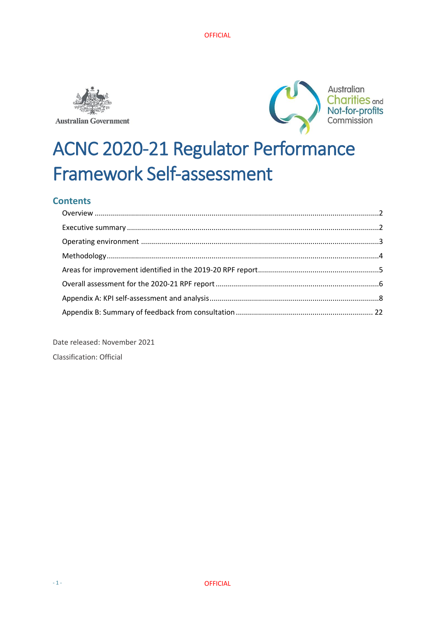

**Australian Government** 



# ACNC 2020-21 Regulator Performance Framework Self-assessment

# **Contents**

Date released: November 2021 Classification: Official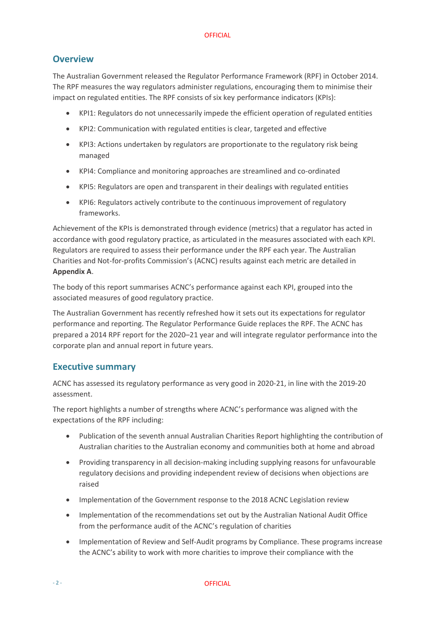## <span id="page-1-0"></span>**Overview**

The Australian Government released the Regulator Performance Framework (RPF) in October 2014. The RPF measures the way regulators administer regulations, encouraging them to minimise their impact on regulated entities. The RPF consists of six key performance indicators (KPIs):

- KPI1: Regulators do not unnecessarily impede the efficient operation of regulated entities
- KPI2: Communication with regulated entities is clear, targeted and effective
- KPI3: Actions undertaken by regulators are proportionate to the regulatory risk being managed
- KPI4: Compliance and monitoring approaches are streamlined and co-ordinated
- KPI5: Regulators are open and transparent in their dealings with regulated entities
- KPI6: Regulators actively contribute to the continuous improvement of regulatory frameworks.

Achievement of the KPIs is demonstrated through evidence (metrics) that a regulator has acted in accordance with good regulatory practice, as articulated in the measures associated with each KPI. Regulators are required to assess their performance under the RPF each year. The Australian Charities and Not-for-profits Commission's (ACNC) results against each metric are detailed in **Appendix A**.

The body of this report summarises ACNC's performance against each KPI, grouped into the associated measures of good regulatory practice.

The Australian Government has recently refreshed how it sets out its expectations for regulator performance and reporting. The Regulator Performance Guide replaces the RPF. The ACNC has prepared a 2014 RPF report for the 2020–21 year and will integrate regulator performance into the corporate plan and annual report in future years.

### <span id="page-1-1"></span>**Executive summary**

ACNC has assessed its regulatory performance as very good in 2020-21, in line with the 2019-20 assessment.

The report highlights a number of strengths where ACNC's performance was aligned with the expectations of the RPF including:

- Publication of the seventh annual Australian Charities Report highlighting the contribution of Australian charities to the Australian economy and communities both at home and abroad
- Providing transparency in all decision-making including supplying reasons for unfavourable regulatory decisions and providing independent review of decisions when objections are raised
- Implementation of the Government response to the 2018 ACNC Legislation review
- Implementation of the recommendations set out by the Australian National Audit Office from the performance audit of the ACNC's regulation of charities
- Implementation of Review and Self-Audit programs by Compliance. These programs increase the ACNC's ability to work with more charities to improve their compliance with the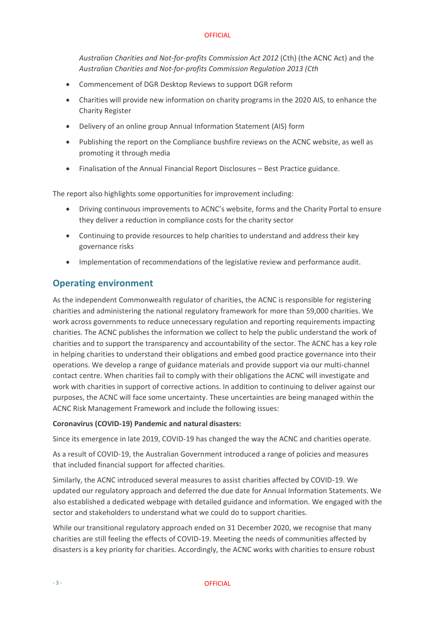*Australian Charities and Not-for-profits Commission Act 2012* (Cth) (the ACNC Act) and the *Australian Charities and Not-for-profits Commission Regulation 2013 (Cth*

- Commencement of DGR Desktop Reviews to support DGR reform
- Charities will provide new information on charity programs in the 2020 AIS, to enhance the Charity Register
- Delivery of an online group Annual Information Statement (AIS) form
- Publishing the report on the Compliance bushfire reviews on the ACNC website, as well as promoting it through media
- Finalisation of the Annual Financial Report Disclosures Best Practice guidance.

The report also highlights some opportunities for improvement including:

- Driving continuous improvements to ACNC's website, forms and the Charity Portal to ensure they deliver a reduction in compliance costs for the charity sector
- Continuing to provide resources to help charities to understand and address their key governance risks
- Implementation of recommendations of the legislative review and performance audit.

## <span id="page-2-0"></span>**Operating environment**

As the independent Commonwealth regulator of charities, the ACNC is responsible for registering charities and administering the national regulatory framework for more than 59,000 charities. We work across governments to reduce unnecessary regulation and reporting requirements impacting charities. The ACNC publishes the information we collect to help the public understand the work of charities and to support the transparency and accountability of the sector. The ACNC has a key role in helping charities to understand their obligations and embed good practice governance into their operations. We develop a range of guidance materials and provide support via our multi-channel contact centre. When charities fail to comply with their obligations the ACNC will investigate and work with charities in support of corrective actions. In addition to continuing to deliver against our purposes, the ACNC will face some uncertainty. These uncertainties are being managed within the ACNC Risk Management Framework and include the following issues:

#### **Coronavirus (COVID-19) Pandemic and natural disasters:**

Since its emergence in late 2019, COVID-19 has changed the way the ACNC and charities operate.

As a result of COVID-19, the Australian Government introduced a range of policies and measures that included financial support for affected charities.

Similarly, the ACNC introduced several measures to assist charities affected by COVID-19. We updated our regulatory approach and deferred the due date for Annual Information Statements. We also established a dedicated webpage with detailed guidance and information. We engaged with the sector and stakeholders to understand what we could do to support charities.

While our transitional regulatory approach ended on 31 December 2020, we recognise that many charities are still feeling the effects of COVID-19. Meeting the needs of communities affected by disasters is a key priority for charities. Accordingly, the ACNC works with charities to ensure robust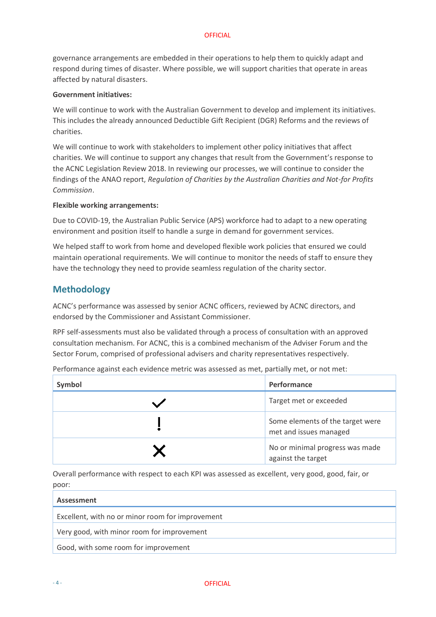governance arrangements are embedded in their operations to help them to quickly adapt and respond during times of disaster. Where possible, we will support charities that operate in areas affected by natural disasters.

#### **Government initiatives:**

We will continue to work with the Australian Government to develop and implement its initiatives. This includes the already announced Deductible Gift Recipient (DGR) Reforms and the reviews of charities.

We will continue to work with stakeholders to implement other policy initiatives that affect charities. We will continue to support any changes that result from the Government's response to the ACNC Legislation Review 2018. In reviewing our processes, we will continue to consider the findings of the ANAO report, *Regulation of Charities by the Australian Charities and Not-for Profits Commission*.

#### **Flexible working arrangements:**

Due to COVID-19, the Australian Public Service (APS) workforce had to adapt to a new operating environment and position itself to handle a surge in demand for government services.

We helped staff to work from home and developed flexible work policies that ensured we could maintain operational requirements. We will continue to monitor the needs of staff to ensure they have the technology they need to provide seamless regulation of the charity sector.

## <span id="page-3-0"></span>**Methodology**

ACNC's performance was assessed by senior ACNC officers, reviewed by ACNC directors, and endorsed by the Commissioner and Assistant Commissioner.

RPF self-assessments must also be validated through a process of consultation with an approved consultation mechanism. For ACNC, this is a combined mechanism of the Adviser Forum and the Sector Forum, comprised of professional advisers and charity representatives respectively.

| Symbol | Performance                                                |
|--------|------------------------------------------------------------|
|        | Target met or exceeded                                     |
|        | Some elements of the target were<br>met and issues managed |
|        | No or minimal progress was made<br>against the target      |

Performance against each evidence metric was assessed as met, partially met, or not met:

Overall performance with respect to each KPI was assessed as excellent, very good, good, fair, or poor:

| <b>Assessment</b>                                |
|--------------------------------------------------|
| Excellent, with no or minor room for improvement |
| Very good, with minor room for improvement       |
| Good, with some room for improvement             |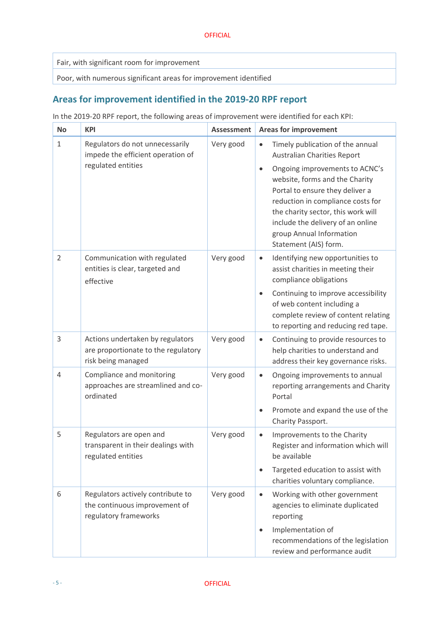Fair, with significant room for improvement

Poor, with numerous significant areas for improvement identified

# <span id="page-4-0"></span>**Areas for improvement identified in the 2019-20 RPF report**

In the 2019-20 RPF report, the following areas of improvement were identified for each KPI:

| <b>No</b>      | <b>KPI</b>                                                                                    | <b>Assessment</b> | <b>Areas for improvement</b>                                                                                                                                                                                                                                                                                                                                                 |
|----------------|-----------------------------------------------------------------------------------------------|-------------------|------------------------------------------------------------------------------------------------------------------------------------------------------------------------------------------------------------------------------------------------------------------------------------------------------------------------------------------------------------------------------|
| $\mathbf{1}$   | Regulators do not unnecessarily<br>impede the efficient operation of<br>regulated entities    | Very good         | Timely publication of the annual<br>$\bullet$<br><b>Australian Charities Report</b><br>Ongoing improvements to ACNC's<br>$\bullet$<br>website, forms and the Charity<br>Portal to ensure they deliver a<br>reduction in compliance costs for<br>the charity sector, this work will<br>include the delivery of an online<br>group Annual Information<br>Statement (AIS) form. |
| $\overline{2}$ | Communication with regulated<br>entities is clear, targeted and<br>effective                  | Very good         | Identifying new opportunities to<br>$\bullet$<br>assist charities in meeting their<br>compliance obligations<br>Continuing to improve accessibility<br>$\bullet$<br>of web content including a<br>complete review of content relating<br>to reporting and reducing red tape.                                                                                                 |
| 3              | Actions undertaken by regulators<br>are proportionate to the regulatory<br>risk being managed | Very good         | Continuing to provide resources to<br>$\bullet$<br>help charities to understand and<br>address their key governance risks.                                                                                                                                                                                                                                                   |
| $\overline{4}$ | Compliance and monitoring<br>approaches are streamlined and co-<br>ordinated                  | Very good         | Ongoing improvements to annual<br>$\bullet$<br>reporting arrangements and Charity<br>Portal<br>Promote and expand the use of the<br>$\bullet$<br>Charity Passport.                                                                                                                                                                                                           |
| 5              | Regulators are open and<br>transparent in their dealings with<br>regulated entities           | Very good         | Improvements to the Charity<br>$\bullet$<br>Register and information which will<br>be available<br>Targeted education to assist with<br>$\bullet$<br>charities voluntary compliance.                                                                                                                                                                                         |
| 6              | Regulators actively contribute to<br>the continuous improvement of<br>regulatory frameworks   | Very good         | Working with other government<br>$\bullet$<br>agencies to eliminate duplicated<br>reporting<br>Implementation of<br>$\bullet$<br>recommendations of the legislation<br>review and performance audit                                                                                                                                                                          |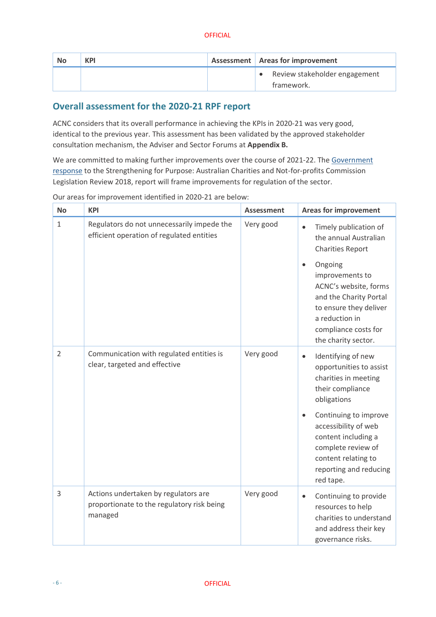| <b>No</b> | <b>KPI</b> | Assessment   Areas for improvement          |
|-----------|------------|---------------------------------------------|
|           |            | Review stakeholder engagement<br>framework. |

# <span id="page-5-0"></span>**Overall assessment for the 2020-21 RPF report**

ACNC considers that its overall performance in achieving the KPIs in 2020-21 was very good, identical to the previous year. This assessment has been validated by the approved stakeholder consultation mechanism, the Adviser and Sector Forums at **Appendix B.**

We are committed to making further improvements over the course of 2021-22. The [Government](https://treasury.gov.au/publication/p2020-61958)  [response](https://treasury.gov.au/publication/p2020-61958) to th[e Strengthening for Purpose: Australian Charities and Not-for-profits Commission](https://treasury.gov.au/publication/p2018-t318031) Legislation [Review 2018,](https://treasury.gov.au/publication/p2018-t318031) [report](https://treasury.gov.au/publication/p2018-t318031) will frame improvements for regulation of the sector.

| <b>No</b>      | <b>KPI</b>                                                                                    | <b>Assessment</b> | <b>Areas for improvement</b>                                                                                                                                                          |
|----------------|-----------------------------------------------------------------------------------------------|-------------------|---------------------------------------------------------------------------------------------------------------------------------------------------------------------------------------|
| $\mathbf{1}$   | Regulators do not unnecessarily impede the<br>efficient operation of regulated entities       | Very good         | Timely publication of<br>$\bullet$<br>the annual Australian<br><b>Charities Report</b>                                                                                                |
|                |                                                                                               |                   | Ongoing<br>$\bullet$<br>improvements to<br>ACNC's website, forms<br>and the Charity Portal<br>to ensure they deliver<br>a reduction in<br>compliance costs for<br>the charity sector. |
| $\overline{2}$ | Communication with regulated entities is<br>clear, targeted and effective                     | Very good         | Identifying of new<br>$\bullet$<br>opportunities to assist<br>charities in meeting<br>their compliance<br>obligations                                                                 |
|                |                                                                                               |                   | Continuing to improve<br>$\bullet$<br>accessibility of web<br>content including a<br>complete review of<br>content relating to<br>reporting and reducing<br>red tape.                 |
| $\overline{3}$ | Actions undertaken by regulators are<br>proportionate to the regulatory risk being<br>managed | Very good         | Continuing to provide<br>$\bullet$<br>resources to help<br>charities to understand<br>and address their key<br>governance risks.                                                      |

Our areas for improvement identified in 2020-21 are below: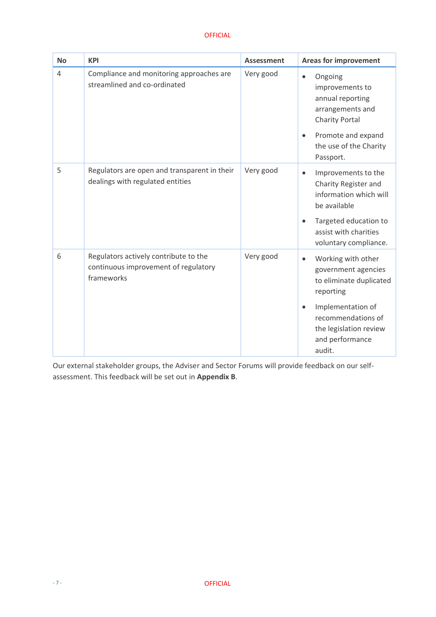| <b>No</b>      | <b>KPI</b>                                                                                  | <b>Assessment</b> | <b>Areas for improvement</b>                                                                                                                                                                                  |
|----------------|---------------------------------------------------------------------------------------------|-------------------|---------------------------------------------------------------------------------------------------------------------------------------------------------------------------------------------------------------|
| $\overline{4}$ | Compliance and monitoring approaches are<br>streamlined and co-ordinated                    | Very good         | Ongoing<br>$\bullet$<br>improvements to<br>annual reporting<br>arrangements and<br><b>Charity Portal</b><br>Promote and expand<br>$\bullet$<br>the use of the Charity<br>Passport.                            |
| 5              | Regulators are open and transparent in their<br>dealings with regulated entities            | Very good         | Improvements to the<br>$\bullet$<br>Charity Register and<br>information which will<br>be available<br>Targeted education to<br>assist with charities<br>voluntary compliance.                                 |
| 6              | Regulators actively contribute to the<br>continuous improvement of regulatory<br>frameworks | Very good         | Working with other<br>$\bullet$<br>government agencies<br>to eliminate duplicated<br>reporting<br>Implementation of<br>$\bullet$<br>recommendations of<br>the legislation review<br>and performance<br>audit. |

Our external stakeholder groups, the Adviser and Sector Forums will provide feedback on our selfassessment. This feedback will be set out in **Appendix B**.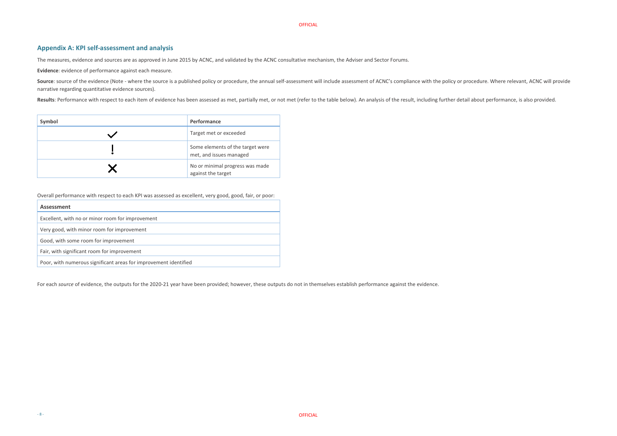## <span id="page-7-0"></span>**Appendix A: KPI self-assessment and analysis**

The measures, evidence and sources are as approved in June 2015 by ACNC, and validated by the ACNC consultative mechanism, the Adviser and Sector Forums.

**Evidence**: evidence of performance against each measure.

Source: source of the evidence (Note - where the source is a published policy or procedure, the annual self-assessment will include assessment of ACNC's compliance with the policy or procedure. Where relevant, ACNC will pr narrative regarding quantitative evidence sources).

Results: Performance with respect to each item of evidence has been assessed as met, partially met, or not met (refer to the table below). An analysis of the result, including further detail about performance, is also prov

| Symbol | Performance                                                 |
|--------|-------------------------------------------------------------|
|        | Target met or exceeded                                      |
|        | Some elements of the target were<br>met, and issues managed |
|        | No or minimal progress was made<br>against the target       |

Overall performance with respect to each KPI was assessed as excellent, very good, good, fair, or poor:

| <b>Assessment</b>                                                |
|------------------------------------------------------------------|
| Excellent, with no or minor room for improvement                 |
| Very good, with minor room for improvement                       |
| Good, with some room for improvement                             |
| Fair, with significant room for improvement                      |
| Poor, with numerous significant areas for improvement identified |

For each *source* of evidence, the outputs for the 2020-21 year have been provided; however, these outputs do not in themselves establish performance against the evidence.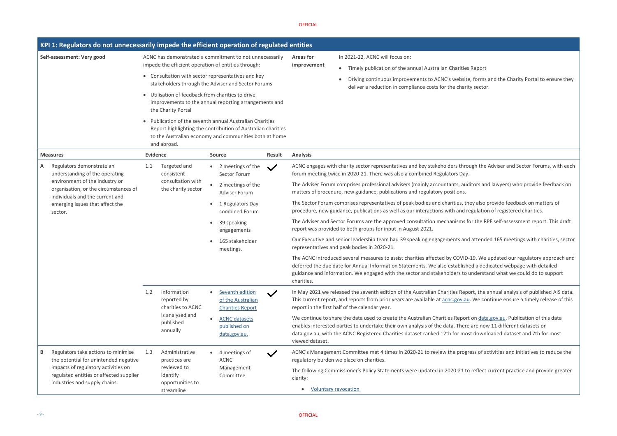#### es Report

te, forms and the Charity Portal to ensure they rity sector.

hugh the Adviser and Sector Forums, with each

ditors and lawyers) who provide feedback on

hey also provide feedback on matters of regulation of registered charities.

for the RPF self-assessment report. This draft

od attended 165 meetings with charities, sector

D-19. We updated our regulatory approach and hed a dedicated webpage with detailed  $\theta$  understand what we could do to support

port, the annual analysis of published AIS data. **ILI**. We continue ensure a timely release of this

rt on data gov.au. Publication of this data e are now 11 different datasets on ost downloaded dataset and 7th for most

gress of activities and initiatives to reduce the

to reflect current practice and provide greater

|                            | KPI 1: Regulators do not unnecessarily impede the efficient operation of regulated entities                                                                                                     |                                                                                                                                                                                                                                                                                                                                                                                                                                                                                                                                                                 |                                                                                             |                              |                                                                 |                                                                                                                    |                                                                                                                                                                                                                                                                 |  |
|----------------------------|-------------------------------------------------------------------------------------------------------------------------------------------------------------------------------------------------|-----------------------------------------------------------------------------------------------------------------------------------------------------------------------------------------------------------------------------------------------------------------------------------------------------------------------------------------------------------------------------------------------------------------------------------------------------------------------------------------------------------------------------------------------------------------|---------------------------------------------------------------------------------------------|------------------------------|-----------------------------------------------------------------|--------------------------------------------------------------------------------------------------------------------|-----------------------------------------------------------------------------------------------------------------------------------------------------------------------------------------------------------------------------------------------------------------|--|
| Self-assessment: Very good |                                                                                                                                                                                                 | ACNC has demonstrated a commitment to not unnecessarily<br>impede the efficient operation of entities through:<br>• Consultation with sector representatives and key<br>stakeholders through the Adviser and Sector Forums<br>Utilisation of feedback from charities to drive<br>improvements to the annual reporting arrangements and<br>the Charity Portal<br>Publication of the seventh annual Australian Charities<br>Report highlighting the contribution of Australian charities<br>to the Australian economy and communities both at home<br>and abroad. |                                                                                             |                              |                                                                 |                                                                                                                    | In 2021-22, ACNC will focus on:<br><b>Areas for</b><br>improvement<br>Timely publication of the annual Australian Charities<br>$\bullet$                                                                                                                        |  |
|                            |                                                                                                                                                                                                 |                                                                                                                                                                                                                                                                                                                                                                                                                                                                                                                                                                 |                                                                                             |                              |                                                                 |                                                                                                                    | Driving continuous improvements to ACNC's website<br>$\bullet$<br>deliver a reduction in compliance costs for the charit                                                                                                                                        |  |
|                            |                                                                                                                                                                                                 |                                                                                                                                                                                                                                                                                                                                                                                                                                                                                                                                                                 |                                                                                             |                              |                                                                 |                                                                                                                    |                                                                                                                                                                                                                                                                 |  |
|                            |                                                                                                                                                                                                 |                                                                                                                                                                                                                                                                                                                                                                                                                                                                                                                                                                 |                                                                                             |                              |                                                                 |                                                                                                                    |                                                                                                                                                                                                                                                                 |  |
|                            | <b>Measures</b>                                                                                                                                                                                 | <b>Evidence</b>                                                                                                                                                                                                                                                                                                                                                                                                                                                                                                                                                 |                                                                                             | <b>Source</b>                |                                                                 | Result                                                                                                             | <b>Analysis</b>                                                                                                                                                                                                                                                 |  |
| A                          | Regulators demonstrate an<br>understanding of the operating                                                                                                                                     | 1.1                                                                                                                                                                                                                                                                                                                                                                                                                                                                                                                                                             | Targeted and<br>consistent<br>consultation with<br>the charity sector                       |                              | 2 meetings of the<br>Sector Forum                               |                                                                                                                    | ACNC engages with charity sector representatives and key stakeholders thro<br>forum meeting twice in 2020-21. There was also a combined Regulators Day.                                                                                                         |  |
|                            | environment of the industry or<br>organisation, or the circumstances of<br>individuals and the current and<br>emerging issues that affect the<br>sector.                                        | 1.2                                                                                                                                                                                                                                                                                                                                                                                                                                                                                                                                                             |                                                                                             | $\bullet$                    | 2 meetings of the<br><b>Adviser Forum</b>                       |                                                                                                                    | The Adviser Forum comprises professional advisers (mainly accountants, aud<br>matters of procedure, new guidance, publications and regulatory positions.                                                                                                        |  |
|                            |                                                                                                                                                                                                 |                                                                                                                                                                                                                                                                                                                                                                                                                                                                                                                                                                 |                                                                                             |                              | 1 Regulators Day<br>combined Forum                              |                                                                                                                    | The Sector Forum comprises representatives of peak bodies and charities, th<br>procedure, new guidance, publications as well as our interactions with and re                                                                                                    |  |
|                            |                                                                                                                                                                                                 |                                                                                                                                                                                                                                                                                                                                                                                                                                                                                                                                                                 |                                                                                             |                              | 39 speaking<br>engagements                                      |                                                                                                                    | The Adviser and Sector Forums are the approved consultation mechanisms fo<br>report was provided to both groups for input in August 2021.                                                                                                                       |  |
|                            |                                                                                                                                                                                                 |                                                                                                                                                                                                                                                                                                                                                                                                                                                                                                                                                                 |                                                                                             |                              | 165 stakeholder<br>meetings.                                    |                                                                                                                    | Our Executive and senior leadership team had 39 speaking engagements and<br>representatives and peak bodies in 2020-21.                                                                                                                                         |  |
|                            |                                                                                                                                                                                                 |                                                                                                                                                                                                                                                                                                                                                                                                                                                                                                                                                                 |                                                                                             |                              |                                                                 |                                                                                                                    | The ACNC introduced several measures to assist charities affected by COVID-<br>deferred the due date for Annual Information Statements. We also establish<br>guidance and information. We engaged with the sector and stakeholders to u<br>charities.           |  |
|                            |                                                                                                                                                                                                 |                                                                                                                                                                                                                                                                                                                                                                                                                                                                                                                                                                 | Information<br>reported by<br>charities to ACNC<br>is analysed and<br>published<br>annually |                              | Seventh edition<br>of the Australian<br><b>Charities Report</b> | $\checkmark$                                                                                                       | In May 2021 we released the seventh edition of the Australian Charities Repo<br>This current report, and reports from prior years are available at acnc.gov.au<br>report in the first half of the calendar year.                                                |  |
|                            |                                                                                                                                                                                                 |                                                                                                                                                                                                                                                                                                                                                                                                                                                                                                                                                                 |                                                                                             |                              | <b>ACNC datasets</b><br>published on<br>data.gov.au.            |                                                                                                                    | We continue to share the data used to create the Australian Charities Report<br>enables interested parties to undertake their own analysis of the data. There<br>data.gov.au, with the ACNC Registered Charities dataset ranked 12th for mos<br>viewed dataset. |  |
| В                          | Regulators take actions to minimise<br>the potential for unintended negative<br>impacts of regulatory activities on<br>regulated entities or affected supplier<br>industries and supply chains. | Administrative<br>1.3<br>practices are<br>reviewed to<br>identify<br>opportunities to                                                                                                                                                                                                                                                                                                                                                                                                                                                                           |                                                                                             | 4 meetings of<br><b>ACNC</b> |                                                                 | ACNC's Management Committee met 4 times in 2020-21 to review the progr<br>regulatory burden we place on charities. |                                                                                                                                                                                                                                                                 |  |
|                            |                                                                                                                                                                                                 |                                                                                                                                                                                                                                                                                                                                                                                                                                                                                                                                                                 |                                                                                             | Management<br>Committee      |                                                                 | The following Commissioner's Policy Statements were updated in 2020-21 to<br>clarity:                              |                                                                                                                                                                                                                                                                 |  |
|                            |                                                                                                                                                                                                 |                                                                                                                                                                                                                                                                                                                                                                                                                                                                                                                                                                 | streamline                                                                                  |                              |                                                                 |                                                                                                                    | <b>Voluntary revocation</b>                                                                                                                                                                                                                                     |  |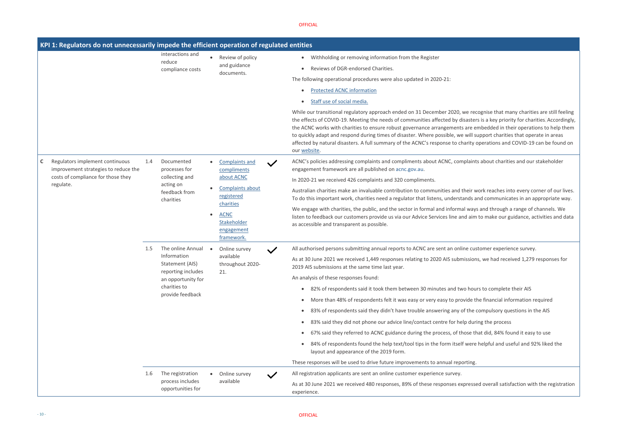recognise that many charities are still feeling asters is a key priority for charities. Accordingly, are embedded in their operations to help them vill support charities that operate in areas rity operations and COVID-19 can be found on

laints about charities and our stakeholder

eir work reaches into every corner of our lives. nds and communicates in an appropriate way.

ways and through a range of channels. We l aim to make our guidance, activities and data

de customer experience survey.

ssions, we had received 1,279 responses for

hours to complete their AIS

ide the financial information required

the compulsory questions in the AIS

during the process

se that did, 84% found it easy to use

were helpful and useful and 92% liked the

ressed overall satisfaction with the registration

|                                                                                                                                            | interactions and<br>reduce<br>compliance costs                                                                                             | Review of policy<br>and guidance<br>documents.                                                                                                                              | Withholding or removing information from the Register<br>٠<br>Reviews of DGR-endorsed Charities.<br>The following operational procedures were also updated in 2020-21:<br><b>Protected ACNC information</b><br>Staff use of social media.<br>While our transitional regulatory approach ended on 31 December 2020, we red<br>the effects of COVID-19. Meeting the needs of communities affected by disaster<br>the ACNC works with charities to ensure robust governance arrangements are e<br>to quickly adapt and respond during times of disaster. Where possible, we will s<br>affected by natural disasters. A full summary of the ACNC's response to charity<br>our website.                                                                                                                                                                                                                            |
|--------------------------------------------------------------------------------------------------------------------------------------------|--------------------------------------------------------------------------------------------------------------------------------------------|-----------------------------------------------------------------------------------------------------------------------------------------------------------------------------|---------------------------------------------------------------------------------------------------------------------------------------------------------------------------------------------------------------------------------------------------------------------------------------------------------------------------------------------------------------------------------------------------------------------------------------------------------------------------------------------------------------------------------------------------------------------------------------------------------------------------------------------------------------------------------------------------------------------------------------------------------------------------------------------------------------------------------------------------------------------------------------------------------------|
| Regulators implement continuous<br>$\mathsf{C}$<br>improvement strategies to reduce the<br>costs of compliance for those they<br>regulate. | Documented<br>1.4<br>processes for<br>collecting and<br>acting on<br>feedback from<br>charities                                            | <b>Complaints and</b><br>$\checkmark$<br>compliments<br>about ACNC<br>Complaints about<br>registered<br>charities<br><b>ACNC</b><br>Stakeholder<br>engagement<br>framework. | ACNC's policies addressing complaints and compliments about ACNC, complaint<br>engagement framework are all published on acnc.gov.au.<br>In 2020-21 we received 426 complaints and 320 compliments.<br>Australian charities make an invaluable contribution to communities and their v<br>To do this important work, charities need a regulator that listens, understands a<br>We engage with charities, the public, and the sector in formal and informal way<br>listen to feedback our customers provide us via our Advice Services line and aim<br>as accessible and transparent as possible.                                                                                                                                                                                                                                                                                                              |
|                                                                                                                                            | The online Annual<br>1.5<br>Information<br>Statement (AIS)<br>reporting includes<br>an opportunity for<br>charities to<br>provide feedback | Online survey<br>available<br>throughout 2020-<br>21.                                                                                                                       | All authorised persons submitting annual reports to ACNC are sent an online cust<br>As at 30 June 2021 we received 1,449 responses relating to 2020 AIS submission<br>2019 AIS submissions at the same time last year.<br>An analysis of these responses found:<br>82% of respondents said it took them between 30 minutes and two hou<br>$\bullet$<br>More than 48% of respondents felt it was easy or very easy to provide t<br>$\bullet$<br>83% of respondents said they didn't have trouble answering any of the<br>$\bullet$<br>83% said they did not phone our advice line/contact centre for help dur<br>$\bullet$<br>67% said they referred to ACNC guidance during the process, of those tl<br>84% of respondents found the help text/tool tips in the form itself were<br>layout and appearance of the 2019 form.<br>These responses will be used to drive future improvements to annual reporting. |
|                                                                                                                                            | 1.6<br>The registration<br>process includes<br>opportunities for                                                                           | Online survey<br>available                                                                                                                                                  | All registration applicants are sent an online customer experience survey.<br>As at 30 June 2021 we received 480 responses, 89% of these responses expresse<br>experience.                                                                                                                                                                                                                                                                                                                                                                                                                                                                                                                                                                                                                                                                                                                                    |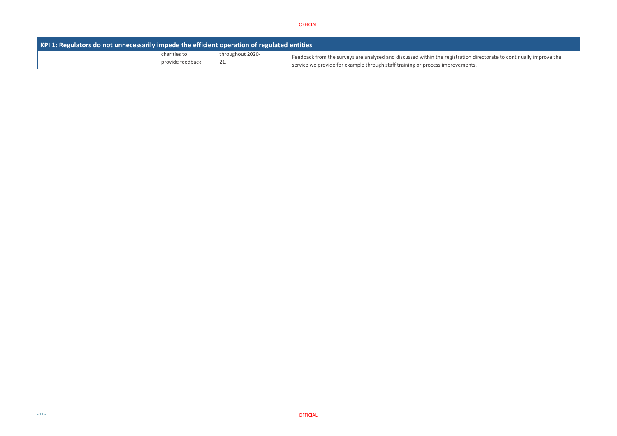tion directorate to continually improve the

| KPI 1: Regulators do not unnecessarily impede the efficient operation of regulated entities |                  |                                                                                                                                                                   |
|---------------------------------------------------------------------------------------------|------------------|-------------------------------------------------------------------------------------------------------------------------------------------------------------------|
| charities to<br>provide feedback                                                            | throughout 2020- | Feedback from the surveys are analysed and discussed within the registration di<br>service we provide for example through staff training or process improvements. |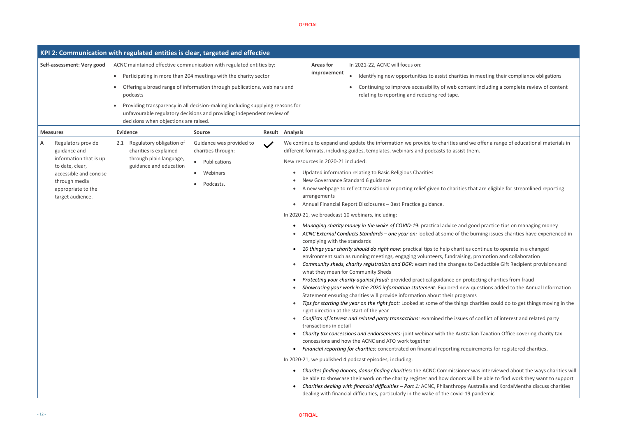

in meeting their compliance obligations ent including a complete review of content

we offer a range of educational materials in

that are eligible for streamlined reporting

• *Managing charity money in the wake of COVID-19*: practical advice and good practice tips on managing money **Products Acternal conducts Standards** *Purning issues charities have experienced in* 

• *10 things your charity should do right now*: practical tips to help charities continue to operate in a changed g, promotion and collaboration to Deductible Gift Recipient provisions and

otecting charities from fraud • *Showcasing your work in the 2020 information statement*: Explored new questions added to the Annual Information

fips for starting for the *right for the identities* could do to get things moving in the

of conflict of interest and related party

alian Taxation Office covering charity tax

*Financial reportion for registered charities.* 

• *Charites finding donors, donor finding charities*: the ACNC Commissioner was interviewed about the ways charities will will be able to find work they want to support • *Charities dealing with financial difficulties – Part 1:* ACNC, Philanthropy Australia and KordaMentha discuss charities 9 pandemic

|   |                                                         | KPI 2: Communication with regulated entities is clear, targeted and effective |                                                                                                                                                        |                                                                                                                                                                                                                                                                                                                                                                                                                                                                                                                                                                                                                                                                                                                                                                                                                                                                                                                                                                                                                                                                                                                                                                                                    |
|---|---------------------------------------------------------|-------------------------------------------------------------------------------|--------------------------------------------------------------------------------------------------------------------------------------------------------|----------------------------------------------------------------------------------------------------------------------------------------------------------------------------------------------------------------------------------------------------------------------------------------------------------------------------------------------------------------------------------------------------------------------------------------------------------------------------------------------------------------------------------------------------------------------------------------------------------------------------------------------------------------------------------------------------------------------------------------------------------------------------------------------------------------------------------------------------------------------------------------------------------------------------------------------------------------------------------------------------------------------------------------------------------------------------------------------------------------------------------------------------------------------------------------------------|
|   | Self-assessment: Very good                              | ACNC maintained effective communication with regulated entities by:           |                                                                                                                                                        | In 2021-22, ACNC will focus on:<br><b>Areas for</b>                                                                                                                                                                                                                                                                                                                                                                                                                                                                                                                                                                                                                                                                                                                                                                                                                                                                                                                                                                                                                                                                                                                                                |
|   |                                                         |                                                                               | Participating in more than 204 meetings with the charity sector                                                                                        | improvement<br>Identifying new opportunities to assist charities in me                                                                                                                                                                                                                                                                                                                                                                                                                                                                                                                                                                                                                                                                                                                                                                                                                                                                                                                                                                                                                                                                                                                             |
|   |                                                         | $\bullet$<br>podcasts                                                         | Offering a broad range of information through publications, webinars and                                                                               | Continuing to improve accessibility of web content in<br>relating to reporting and reducing red tape.                                                                                                                                                                                                                                                                                                                                                                                                                                                                                                                                                                                                                                                                                                                                                                                                                                                                                                                                                                                                                                                                                              |
|   |                                                         | decisions when objections are raised.                                         | Providing transparency in all decision-making including supplying reasons for<br>unfavourable regulatory decisions and providing independent review of |                                                                                                                                                                                                                                                                                                                                                                                                                                                                                                                                                                                                                                                                                                                                                                                                                                                                                                                                                                                                                                                                                                                                                                                                    |
|   | <b>Measures</b>                                         | <b>Evidence</b>                                                               | <b>Source</b>                                                                                                                                          | Result Analysis                                                                                                                                                                                                                                                                                                                                                                                                                                                                                                                                                                                                                                                                                                                                                                                                                                                                                                                                                                                                                                                                                                                                                                                    |
| Α | Regulators provide<br>guidance and                      | Regulatory obligation of<br>2.1<br>charities is explained                     | Guidance was provided to<br>charities through:                                                                                                         | We continue to expand and update the information we provide to charities and we of<br>different formats, including guides, templates, webinars and podcasts to assist them.                                                                                                                                                                                                                                                                                                                                                                                                                                                                                                                                                                                                                                                                                                                                                                                                                                                                                                                                                                                                                        |
|   | information that is up<br>to date, clear,               | through plain language,<br>guidance and education                             | • Publications                                                                                                                                         | New resources in 2020-21 included:                                                                                                                                                                                                                                                                                                                                                                                                                                                                                                                                                                                                                                                                                                                                                                                                                                                                                                                                                                                                                                                                                                                                                                 |
|   | accessible and concise                                  |                                                                               | Webinars<br>$\bullet$                                                                                                                                  | Updated information relating to Basic Religious Charities<br>$\bullet$                                                                                                                                                                                                                                                                                                                                                                                                                                                                                                                                                                                                                                                                                                                                                                                                                                                                                                                                                                                                                                                                                                                             |
|   | through media<br>appropriate to the<br>target audience. |                                                                               | Podcasts.                                                                                                                                              | New Governance Standard 6 guidance<br>A new webpage to reflect transitional reporting relief given to charities that a<br>arrangements                                                                                                                                                                                                                                                                                                                                                                                                                                                                                                                                                                                                                                                                                                                                                                                                                                                                                                                                                                                                                                                             |
|   |                                                         |                                                                               |                                                                                                                                                        | Annual Financial Report Disclosures - Best Practice guidance.<br>$\bullet$                                                                                                                                                                                                                                                                                                                                                                                                                                                                                                                                                                                                                                                                                                                                                                                                                                                                                                                                                                                                                                                                                                                         |
|   |                                                         |                                                                               |                                                                                                                                                        | In 2020-21, we broadcast 10 webinars, including:                                                                                                                                                                                                                                                                                                                                                                                                                                                                                                                                                                                                                                                                                                                                                                                                                                                                                                                                                                                                                                                                                                                                                   |
|   |                                                         |                                                                               |                                                                                                                                                        | Managing charity money in the wake of COVID-19: practical advice and good<br>ACNC External Conducts Standards - one year on: looked at some of the burn<br>complying with the standards<br>10 things your charity should do right now: practical tips to help charities cont<br>environment such as running meetings, engaging volunteers, fundraising, pro<br>Community sheds, charity registration and DGR: examined the changes to Dee<br>what they mean for Community Sheds<br>Protecting your charity against fraud: provided practical guidance on protecti<br>Showcasing your work in the 2020 information statement: Explored new quest<br>Statement ensuring charities will provide information about their programs<br>Tips for starting the year on the right foot: Looked at some of the things chari<br>right direction at the start of the year<br>Conflicts of interest and related party transactions: examined the issues of co<br>transactions in detail<br>Charity tax concessions and endorsements: joint webinar with the Australian<br>concessions and how the ACNC and ATO work together<br>Financial reporting for charities: concentrated on financial reporting requirem |
|   |                                                         |                                                                               |                                                                                                                                                        | In 2020-21, we published 4 podcast episodes, including:                                                                                                                                                                                                                                                                                                                                                                                                                                                                                                                                                                                                                                                                                                                                                                                                                                                                                                                                                                                                                                                                                                                                            |
|   |                                                         |                                                                               |                                                                                                                                                        | Charites finding donors, donor finding charities: the ACNC Commissioner was<br>$\bullet$<br>be able to showcase their work on the charity register and how donors will be<br>Charities dealing with financial difficulties - Part 1: ACNC, Philanthropy Austra<br>dealing with financial difficulties, particularly in the wake of the covid-19 pan                                                                                                                                                                                                                                                                                                                                                                                                                                                                                                                                                                                                                                                                                                                                                                                                                                                |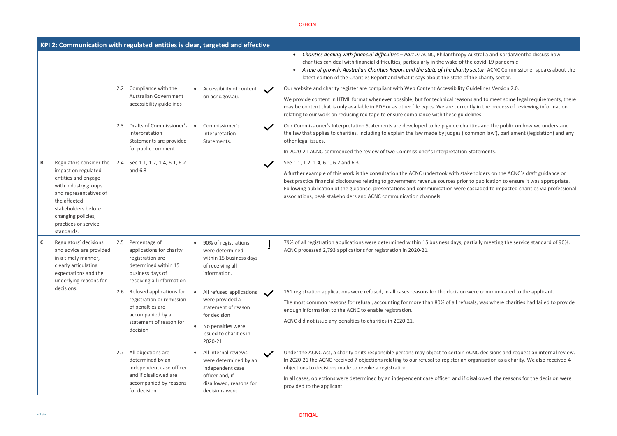# • *Charities dealing with financial difficulties – Part 2:* ACNC, Philanthropy Australia and KordaMentha discuss how the covid-19 pandemic

• *A tale of growth: Australian Charities Report and the state of the charity sector:* ACNC Commissioner speaks about the the charity sector.

Guidelines Version 2.0.

ons and to meet some legal requirements, there ently in the process of reviewing information

arities and the public on how we understand the applies to common law including to common law'), parliament (legislation) and any

**I**statements.

akeholders on the ACNC`s draft guidance on to publication to ensure it was appropriate. cascaded to impacted charities via professional

artially meeting the service standard of 90%.

were communicated to the applicant.

usals, was where charities had failed to provide

ACNC decisions and request an internal review. n organisation as a charity. We also received 4

disallowed, the reasons for the decision were

|   |                                                                                                                                                                                                 |               | KPI 2: Communication with regulated entities is clear, targeted and effective                                                          |                                                                                                        |                                                                                                                                                                                                                                                                                                                                                                |                                                                                                                                                                                                                                                                                                                                           |
|---|-------------------------------------------------------------------------------------------------------------------------------------------------------------------------------------------------|---------------|----------------------------------------------------------------------------------------------------------------------------------------|--------------------------------------------------------------------------------------------------------|----------------------------------------------------------------------------------------------------------------------------------------------------------------------------------------------------------------------------------------------------------------------------------------------------------------------------------------------------------------|-------------------------------------------------------------------------------------------------------------------------------------------------------------------------------------------------------------------------------------------------------------------------------------------------------------------------------------------|
|   |                                                                                                                                                                                                 |               |                                                                                                                                        |                                                                                                        | Charities dealing with financial difficulties - Part 2: ACNC, Philanthropy Austra<br>$\bullet$<br>charities can deal with financial difficulties, particularly in the wake of the cov<br>A tale of growth: Australian Charities Report and the state of the charity secto<br>latest edition of the Charities Report and what it says about the state of the cl |                                                                                                                                                                                                                                                                                                                                           |
|   |                                                                                                                                                                                                 | $2.2^{\circ}$ | Compliance with the                                                                                                                    | Accessibility of content                                                                               |                                                                                                                                                                                                                                                                                                                                                                | Our website and charity register are compliant with Web Content Accessibility Guideli                                                                                                                                                                                                                                                     |
|   |                                                                                                                                                                                                 |               | Australian Government<br>accessibility guidelines                                                                                      | on acnc.gov.au.                                                                                        |                                                                                                                                                                                                                                                                                                                                                                | We provide content in HTML format whenever possible, but for technical reasons and<br>may be content that is only available in PDF or as other file types. We are currently in<br>relating to our work on reducing red tape to ensure compliance with these guidelines.                                                                   |
|   |                                                                                                                                                                                                 | 2.3           | Drafts of Commissioner's<br>Interpretation<br>Statements are provided                                                                  | Commissioner's<br>Interpretation<br>Statements.                                                        |                                                                                                                                                                                                                                                                                                                                                                | Our Commissioner's Interpretation Statements are developed to help guide charities and<br>the law that applies to charities, including to explain the law made by judges ('commo<br>other legal issues.                                                                                                                                   |
|   |                                                                                                                                                                                                 |               | for public comment                                                                                                                     |                                                                                                        |                                                                                                                                                                                                                                                                                                                                                                | In 2020-21 ACNC commenced the review of two Commissioner's Interpretation Stater                                                                                                                                                                                                                                                          |
| В | Regulators consider the                                                                                                                                                                         | 2.4           | See 1.1, 1.2, 1.4, 6.1, 6.2                                                                                                            |                                                                                                        |                                                                                                                                                                                                                                                                                                                                                                | See 1.1, 1.2, 1.4, 6.1, 6.2 and 6.3.                                                                                                                                                                                                                                                                                                      |
|   | impact on regulated<br>entities and engage<br>with industry groups<br>and representatives of<br>the affected<br>stakeholders before<br>changing policies,<br>practices or service<br>standards. |               | and 6.3                                                                                                                                |                                                                                                        |                                                                                                                                                                                                                                                                                                                                                                | A further example of this work is the consultation the ACNC undertook with stakehold<br>best practice financial disclosures relating to government revenue sources prior to pul<br>Following publication of the guidance, presentations and communication were cascad<br>associations, peak stakeholders and ACNC communication channels. |
| C | Regulators' decisions<br>and advice are provided<br>in a timely manner,<br>clearly articulating<br>expectations and the<br>underlying reasons for                                               | 2.5           | Percentage of<br>applications for charity<br>registration are<br>determined within 15<br>business days of<br>receiving all information | 90% of registrations<br>were determined<br>within 15 business days<br>of receiving all<br>information. |                                                                                                                                                                                                                                                                                                                                                                | 79% of all registration applications were determined within 15 business days, partially<br>ACNC processed 2,793 applications for registration in 2020-21.                                                                                                                                                                                 |
|   | decisions.                                                                                                                                                                                      | 2.6           | Refused applications for                                                                                                               | All refused applications                                                                               |                                                                                                                                                                                                                                                                                                                                                                | 151 registration applications were refused, in all cases reasons for the decision were c                                                                                                                                                                                                                                                  |
|   |                                                                                                                                                                                                 |               | registration or remission<br>of penalties are<br>accompanied by a<br>statement of reason for<br>decision                               | were provided a<br>statement of reason<br>for decision                                                 |                                                                                                                                                                                                                                                                                                                                                                | The most common reasons for refusal, accounting for more than 80% of all refusals, w<br>enough information to the ACNC to enable registration.                                                                                                                                                                                            |
|   |                                                                                                                                                                                                 |               |                                                                                                                                        | No penalties were<br>issued to charities in<br>2020-21.                                                |                                                                                                                                                                                                                                                                                                                                                                | ACNC did not issue any penalties to charities in 2020-21.                                                                                                                                                                                                                                                                                 |
|   |                                                                                                                                                                                                 | 2.7           | All objections are<br>determined by an<br>independent case officer<br>and if disallowed are                                            | All internal reviews<br>were determined by an<br>independent case<br>officer and, if                   | $\checkmark$                                                                                                                                                                                                                                                                                                                                                   | Under the ACNC Act, a charity or its responsible persons may object to certain ACNC of<br>In 2020-21 the ACNC received 7 objections relating to our refusal to register an organi<br>objections to decisions made to revoke a registration.                                                                                               |
|   |                                                                                                                                                                                                 |               | accompanied by reasons<br>for decision                                                                                                 | disallowed, reasons for<br>decisions were                                                              |                                                                                                                                                                                                                                                                                                                                                                | In all cases, objections were determined by an independent case officer, and if disallot<br>provided to the applicant.                                                                                                                                                                                                                    |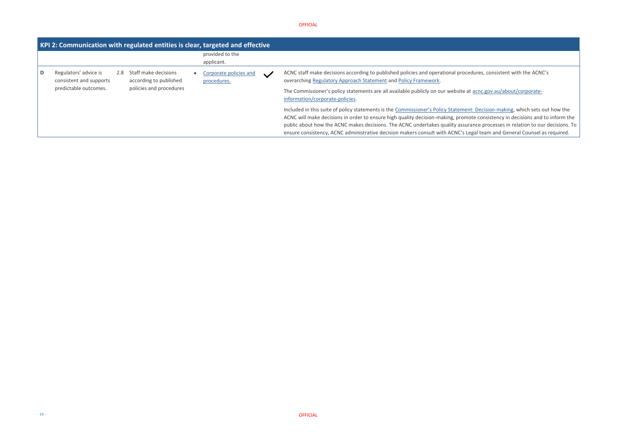edures, consistent with the ACNC's

a[t acnc.gov.au/about/corporate-](https://www.acnc.gov.au/about/corporate-information/corporate-policies/acnc-policy-framework)

nt: Decision-making, which sets out how the note consistency in decisions and to inform the rance processes in relation to our decisions. To egal team and General Counsel as required.

#### OFFICIAL

| KPI 2: Communication with regulated entities is clear, targeted and effective |     |                                                |  |                                       |              |                                                                                                                                                                                                                                                       |                                                                                                                     |  |  |  |
|-------------------------------------------------------------------------------|-----|------------------------------------------------|--|---------------------------------------|--------------|-------------------------------------------------------------------------------------------------------------------------------------------------------------------------------------------------------------------------------------------------------|---------------------------------------------------------------------------------------------------------------------|--|--|--|
|                                                                               |     |                                                |  | provided to the<br>applicant.         |              |                                                                                                                                                                                                                                                       |                                                                                                                     |  |  |  |
| Regulators' advice is<br>consistent and supports                              | 2.8 | Staff make decisions<br>according to published |  | Corporate policies and<br>procedures. | $\checkmark$ | ACNC staff make decisions according to published policies and operational proce<br>overarching Regulatory Approach Statement and Policy Framework.                                                                                                    |                                                                                                                     |  |  |  |
| predictable outcomes.                                                         |     | policies and procedures                        |  |                                       |              |                                                                                                                                                                                                                                                       | The Commissioner's policy statements are all available publicly on our website a<br>information/corporate-policies. |  |  |  |
|                                                                               |     |                                                |  |                                       |              | Included in this suite of policy statements is the Commissioner's Policy Statemer<br>ACNC will make decisions in order to ensure high quality decision-making, prome<br>public about how the ACNC makes decisions. The ACNC undertakes quality assure |                                                                                                                     |  |  |  |
|                                                                               |     |                                                |  |                                       |              | ensure consistency, ACNC administrative decision makers consult with ACNC's Lo                                                                                                                                                                        |                                                                                                                     |  |  |  |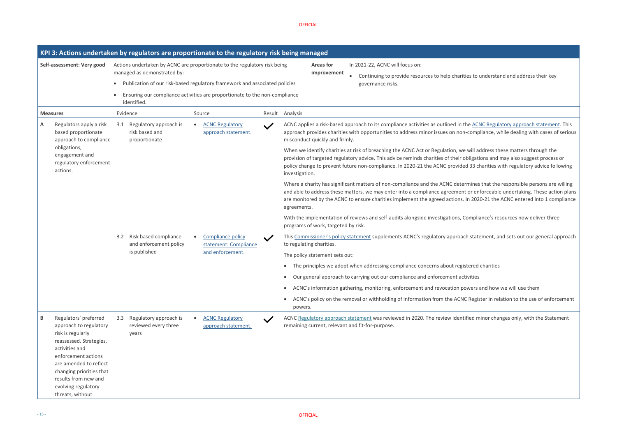es to understand and address their key

e **ACNC Regulatory approach statement**. This compliance, while dealing with cases of serious

will address these matters through the pligations and may also suggest process or 33 charities with regulatory advice following

mines that the responsible persons are willing or enforceable undertaking. These action plans 2020-21 the ACNC entered into 1 compliance

mpliance's resources now deliver three

I statement, and sets out our general approach

ered charities

wers and how we will use them

Register in relation to the use of enforcement

ied minor changes only, [w](https://www.acnc.gov.au/raise-concern/regulating-charities/regulatory-approach-statement)ith the Statement

|                            |                                                                                                                                                                                                                                                                   |                                                                                           | KPI 3: Actions undertaken by regulators are proportionate to the regulatory risk being managed |  |                                                                       |              |                 |                                     |                                                                                                                                                                                                                                                                       |  |  |
|----------------------------|-------------------------------------------------------------------------------------------------------------------------------------------------------------------------------------------------------------------------------------------------------------------|-------------------------------------------------------------------------------------------|------------------------------------------------------------------------------------------------|--|-----------------------------------------------------------------------|--------------|-----------------|-------------------------------------|-----------------------------------------------------------------------------------------------------------------------------------------------------------------------------------------------------------------------------------------------------------------------|--|--|
| Self-assessment: Very good |                                                                                                                                                                                                                                                                   | Actions undertaken by ACNC are proportionate to the regulatory risk being                 |                                                                                                |  |                                                                       |              |                 |                                     | In 2021-22, ACNC will focus on:                                                                                                                                                                                                                                       |  |  |
|                            |                                                                                                                                                                                                                                                                   |                                                                                           | managed as demonstrated by:                                                                    |  |                                                                       |              |                 | improvement                         | Continuing to provide resources to help charities to                                                                                                                                                                                                                  |  |  |
|                            |                                                                                                                                                                                                                                                                   |                                                                                           | Publication of our risk-based regulatory framework and associated policies                     |  |                                                                       |              |                 |                                     | governance risks.                                                                                                                                                                                                                                                     |  |  |
|                            |                                                                                                                                                                                                                                                                   | Ensuring our compliance activities are proportionate to the non-compliance<br>identified. |                                                                                                |  |                                                                       |              |                 |                                     |                                                                                                                                                                                                                                                                       |  |  |
|                            | <b>Measures</b>                                                                                                                                                                                                                                                   |                                                                                           | Evidence                                                                                       |  | Source                                                                |              | Result Analysis |                                     |                                                                                                                                                                                                                                                                       |  |  |
| Α                          | Regulators apply a risk<br>based proportionate<br>approach to compliance                                                                                                                                                                                          | 3.1                                                                                       | Regulatory approach is<br>risk based and<br>proportionate                                      |  | <b>ACNC Regulatory</b><br>approach statement.                         |              |                 | misconduct quickly and firmly.      | ACNC applies a risk-based approach to its compliance activities as outlined in the AC<br>approach provides charities with opportunities to address minor issues on non-comp                                                                                           |  |  |
|                            | obligations,<br>engagement and<br>regulatory enforcement<br>actions.                                                                                                                                                                                              |                                                                                           |                                                                                                |  |                                                                       |              | investigation.  |                                     | When we identify charities at risk of breaching the ACNC Act or Regulation, we will a<br>provision of targeted regulatory advice. This advice reminds charities of their obligat<br>policy change to prevent future non-compliance. In 2020-21 the ACNC provided 33 c |  |  |
|                            |                                                                                                                                                                                                                                                                   |                                                                                           |                                                                                                |  |                                                                       |              | agreements.     |                                     | Where a charity has significant matters of non-compliance and the ACNC determines<br>and able to address these matters, we may enter into a compliance agreement or en<br>are monitored by the ACNC to ensure charities implement the agreed actions. In 202          |  |  |
|                            |                                                                                                                                                                                                                                                                   |                                                                                           |                                                                                                |  |                                                                       |              |                 | programs of work, targeted by risk. | With the implementation of reviews and self-audits alongside investigations, Compli                                                                                                                                                                                   |  |  |
|                            |                                                                                                                                                                                                                                                                   | 3.2                                                                                       | Risk based compliance<br>and enforcement policy<br>is published                                |  | <b>Compliance policy</b><br>statement: Compliance<br>and enforcement. | $\checkmark$ |                 | to regulating charities.            | This Commissioner's policy statement supplements ACNC's regulatory approach stat                                                                                                                                                                                      |  |  |
|                            |                                                                                                                                                                                                                                                                   |                                                                                           |                                                                                                |  |                                                                       |              |                 | The policy statement sets out:      |                                                                                                                                                                                                                                                                       |  |  |
|                            |                                                                                                                                                                                                                                                                   |                                                                                           |                                                                                                |  |                                                                       |              |                 |                                     | The principles we adopt when addressing compliance concerns about registered                                                                                                                                                                                          |  |  |
|                            |                                                                                                                                                                                                                                                                   |                                                                                           |                                                                                                |  |                                                                       |              |                 |                                     | • Our general approach to carrying out our compliance and enforcement activities                                                                                                                                                                                      |  |  |
|                            |                                                                                                                                                                                                                                                                   |                                                                                           |                                                                                                |  |                                                                       |              |                 |                                     | ACNC's information gathering, monitoring, enforcement and revocation powers                                                                                                                                                                                           |  |  |
|                            |                                                                                                                                                                                                                                                                   |                                                                                           |                                                                                                |  |                                                                       |              | powers.         |                                     | ACNC's policy on the removal or withholding of information from the ACNC Regis                                                                                                                                                                                        |  |  |
| В                          | Regulators' preferred<br>approach to regulatory<br>risk is regularly<br>reassessed. Strategies,<br>activities and<br>enforcement actions<br>are amended to reflect<br>changing priorities that<br>results from new and<br>evolving regulatory<br>threats, without | 3.3                                                                                       | Regulatory approach is<br>reviewed every three<br>years                                        |  | <b>ACNC Regulatory</b><br>approach statement.                         |              |                 |                                     | ACNC Regulatory approach statement was reviewed in 2020. The review identified m<br>remaining current, relevant and fit-for-purpose.                                                                                                                                  |  |  |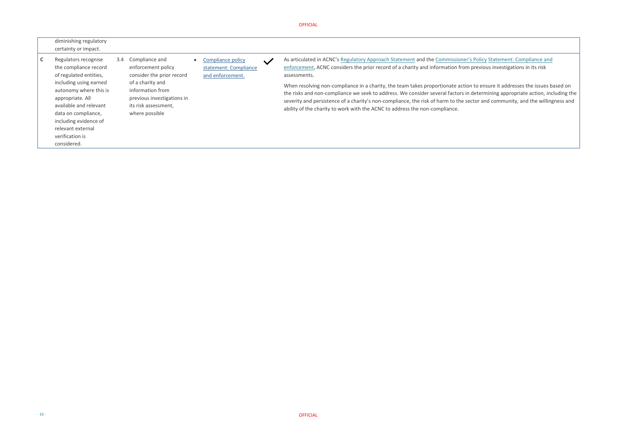**As [a](https://www.acnc.gov.au/raise-concern/regulating-charities/regulatory-approach-statement)rticulated in Access** Regulatory Statement: Compliance and m previous investigations in its risk

ion to ensure it addresses the issues based on in determining appropriate action, including the sector and community, and the willingness and

OFFICIAL

| diminishing regulatory<br>certainty or impact.                                                                                                                                                                                                                                   |               |                                                                                                                                                                                   |                                                                |              |                                                                                                                                                                                                                                                                                                                                                                                                                                                                                                                           |
|----------------------------------------------------------------------------------------------------------------------------------------------------------------------------------------------------------------------------------------------------------------------------------|---------------|-----------------------------------------------------------------------------------------------------------------------------------------------------------------------------------|----------------------------------------------------------------|--------------|---------------------------------------------------------------------------------------------------------------------------------------------------------------------------------------------------------------------------------------------------------------------------------------------------------------------------------------------------------------------------------------------------------------------------------------------------------------------------------------------------------------------------|
| Regulators recognise<br>the compliance record<br>of regulated entities,<br>including using earned<br>autonomy where this is<br>appropriate. All<br>available and relevant<br>data on compliance,<br>including evidence of<br>relevant external<br>verification is<br>considered. | $3.4^{\circ}$ | Compliance and<br>enforcement policy<br>consider the prior record<br>of a charity and<br>information from<br>previous investigations in<br>its risk assessment,<br>where possible | Compliance policy<br>statement: Compliance<br>and enforcement. | $\checkmark$ | As articulated in ACNC's Regulatory Approach Statement and the Commissioner<br>enforcement, ACNC considers the prior record of a charity and information from<br>assessments.<br>When resolving non-compliance in a charity, the team takes proportionate actional<br>the risks and non-compliance we seek to address. We consider several factors in<br>severity and persistence of a charity's non-compliance, the risk of harm to the s<br>ability of the charity to work with the ACNC to address the non-compliance. |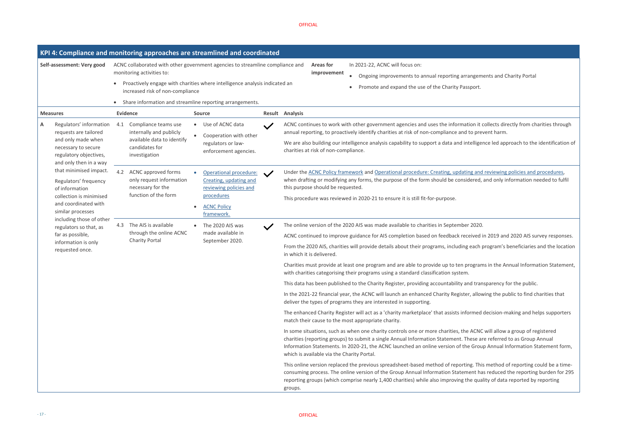rangements and Charity Portal ssport.

ation it collects directly from charities through d to prevent harm.

ntelligence led approach to the identification of

ing and reviewing policies and procedures, idered, and only information needed to fulfil

ceived in 2019 and 2020 AIS survey responses.

each program's beneficiaries and the location

programs in the Annual Information Statement,

#### OFFICIAL

and transparency for the public.

er, allowing the public to find charities that

formed decision-making and helps supporters

e ACNC will allow a group of registered These are referred to as Group Annual ne Group Annual Information Statement form,

ing. This method of reporting could be a timement has reduced the reporting burden for 295 the quality of data reported by reporting

|                                                                                                                                                        | KPI 4: Compliance and monitoring approaches are streamlined and coordinated                                                                                 |                                                                                                                                           |                        |                                                                                                                                                                                                                                                                                                                                                                                                                                                                                                                                                                                                                                                                                                                                                                                                                                                                                                                                                                                                                                                                                                                                                                                                                                                                                                                                                                                                                                                                                                            |  |  |  |
|--------------------------------------------------------------------------------------------------------------------------------------------------------|-------------------------------------------------------------------------------------------------------------------------------------------------------------|-------------------------------------------------------------------------------------------------------------------------------------------|------------------------|------------------------------------------------------------------------------------------------------------------------------------------------------------------------------------------------------------------------------------------------------------------------------------------------------------------------------------------------------------------------------------------------------------------------------------------------------------------------------------------------------------------------------------------------------------------------------------------------------------------------------------------------------------------------------------------------------------------------------------------------------------------------------------------------------------------------------------------------------------------------------------------------------------------------------------------------------------------------------------------------------------------------------------------------------------------------------------------------------------------------------------------------------------------------------------------------------------------------------------------------------------------------------------------------------------------------------------------------------------------------------------------------------------------------------------------------------------------------------------------------------------|--|--|--|
| Self-assessment: Very good                                                                                                                             | ACNC collaborated with other government agencies to streamline compliance and<br>monitoring activities to:<br>increased risk of non-compliance<br>$\bullet$ | Proactively engage with charities where intelligence analysis indicated an<br>Share information and streamline reporting arrangements.    |                        | In 2021-22, ACNC will focus on:<br><b>Areas for</b><br>improvement<br>Ongoing improvements to annual reporting arrangem<br>$\bullet$<br>Promote and expand the use of the Charity Passport.<br>$\bullet$                                                                                                                                                                                                                                                                                                                                                                                                                                                                                                                                                                                                                                                                                                                                                                                                                                                                                                                                                                                                                                                                                                                                                                                                                                                                                                   |  |  |  |
| <b>Measures</b>                                                                                                                                        | <b>Evidence</b>                                                                                                                                             | <b>Source</b>                                                                                                                             | <b>Result Analysis</b> |                                                                                                                                                                                                                                                                                                                                                                                                                                                                                                                                                                                                                                                                                                                                                                                                                                                                                                                                                                                                                                                                                                                                                                                                                                                                                                                                                                                                                                                                                                            |  |  |  |
| Α<br>Regulators' information<br>requests are tailored<br>and only made when<br>necessary to secure<br>regulatory objectives,<br>and only then in a way | Compliance teams use<br>4.1<br>internally and publicly<br>available data to identify<br>candidates for<br>investigation                                     | • Use of ACNC data<br>Cooperation with other<br>regulators or law-<br>enforcement agencies.                                               | $\checkmark$           | ACNC continues to work with other government agencies and uses the information it of<br>annual reporting, to proactively identify charities at risk of non-compliance and to pre<br>We are also building our intelligence analysis capability to support a data and intellige<br>charities at risk of non-compliance.                                                                                                                                                                                                                                                                                                                                                                                                                                                                                                                                                                                                                                                                                                                                                                                                                                                                                                                                                                                                                                                                                                                                                                                      |  |  |  |
| that minimised impact.<br>Regulators' frequency<br>of information<br>collection is minimised<br>and coordinated with<br>similar processes              | <b>ACNC</b> approved forms<br>4.2<br>only request information<br>necessary for the<br>function of the form                                                  | Operational procedure:<br>$\bullet$<br>Creating, updating and<br>reviewing policies and<br>procedures<br><b>ACNC Policy</b><br>framework. | $\checkmark$           | Under the ACNC Policy framework and Operational procedure: Creating, updating and<br>when drafting or modifying any forms, the purpose of the form should be considered,<br>this purpose should be requested.<br>This procedure was reviewed in 2020-21 to ensure it is still fit-for-purpose.                                                                                                                                                                                                                                                                                                                                                                                                                                                                                                                                                                                                                                                                                                                                                                                                                                                                                                                                                                                                                                                                                                                                                                                                             |  |  |  |
| including those of other<br>regulators so that, as<br>far as possible,<br>information is only<br>requested once.                                       | 4.3 The AIS is available<br>through the online ACNC<br><b>Charity Portal</b>                                                                                | The 2020 AIS was<br>made available in<br>September 2020.                                                                                  | $\checkmark$           | The online version of the 2020 AIS was made available to charities in September 2020.<br>ACNC continued to improve guidance for AIS completion based on feedback received i<br>From the 2020 AIS, charities will provide details about their programs, including each p<br>in which it is delivered.<br>Charities must provide at least one program and are able to provide up to ten program<br>with charities categorising their programs using a standard classification system.<br>This data has been published to the Charity Register, providing accountability and tran<br>In the 2021-22 financial year, the ACNC will launch an enhanced Charity Register, allow<br>deliver the types of programs they are interested in supporting.<br>The enhanced Charity Register will act as a 'charity marketplace' that assists informed<br>match their cause to the most appropriate charity.<br>In some situations, such as when one charity controls one or more charities, the ACNC<br>charities (reporting groups) to submit a single Annual Information Statement. These are<br>Information Statements. In 2020-21, the ACNC launched an online version of the Grou<br>which is available via the Charity Portal.<br>This online version replaced the previous spreadsheet-based method of reporting. This<br>consuming process. The online version of the Group Annual Information Statement ha<br>reporting groups (which comprise nearly 1,400 charities) while also improving the qua<br>groups. |  |  |  |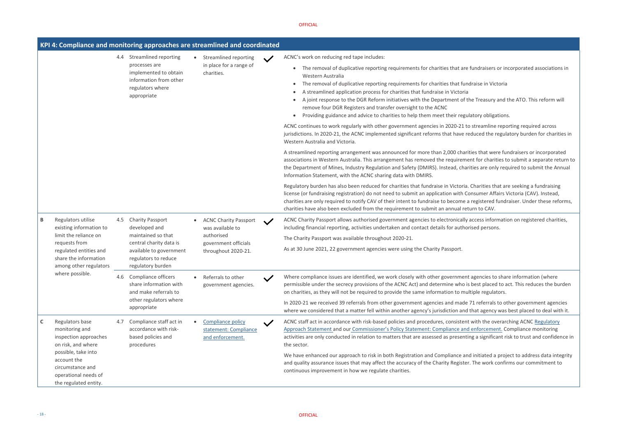fundraisers or incorporated associations in

draise in Victoria

he Treasury and the ATO. This reform will

latory obligations.

Streamline reporting required across educed the regulatory burden for charities in

ities that were fundraisers or incorporated ent for charities to submit a separate return to rities are only required to submit the Annual

Regulator barden are seeking a fundraising in Charities that are seeking a fundraising onsumer Affairs Victoria (CAV). Instead, registered fundraiser. Under these reforms, turn to CAV.



access information on registered charities, rised persons.

agencies to share information (where s best placed to act. This reduces the burden Itiple regulators.

71 referrals to other government agencies that agency was best placed to deal with it.

with the overarching ACNC Regulatory **Henforcement. Compli[a](https://www.acnc.gov.au/raise-concern/regulating-charities/regulatory-approach-statement)nce monitoring** ing a significant risk to trust and confidence in

d initiated a project to address data integrity . The work confirms our commitment to

|   |                                                                                                               |     | KPI 4: Compliance and monitoring approaches are streamlined and coordinated                                                         |           |                                                                                                                                                             |              |                                                                                                                                                                                                                                                                                                                                                                                                                                                                                                                                                                                                                                                                                                                                                                                             |
|---|---------------------------------------------------------------------------------------------------------------|-----|-------------------------------------------------------------------------------------------------------------------------------------|-----------|-------------------------------------------------------------------------------------------------------------------------------------------------------------|--------------|---------------------------------------------------------------------------------------------------------------------------------------------------------------------------------------------------------------------------------------------------------------------------------------------------------------------------------------------------------------------------------------------------------------------------------------------------------------------------------------------------------------------------------------------------------------------------------------------------------------------------------------------------------------------------------------------------------------------------------------------------------------------------------------------|
|   |                                                                                                               | 4.4 | <b>Streamlined reporting</b><br>processes are<br>implemented to obtain<br>information from other<br>regulators where<br>appropriate | $\bullet$ | Streamlined reporting<br>in place for a range of<br>charities.                                                                                              | $\checkmark$ | ACNC's work on reducing red tape includes:<br>The removal of duplicative reporting requirements for charities that are<br>$\bullet$<br>Western Australia<br>The removal of duplicative reporting requirements for charities that fund<br>$\bullet$<br>A streamlined application process for charities that fundraise in Victoria<br>$\bullet$<br>A joint response to the DGR Reform initiatives with the Department of the<br>remove four DGR Registers and transfer oversight to the ACNC<br>Providing guidance and advice to charities to help them meet their regul<br>$\bullet$<br>ACNC continues to work regularly with other government agencies in 2020-21 to<br>jurisdictions. In 2020-21, the ACNC implemented significant reforms that have re<br>Western Australia and Victoria. |
|   |                                                                                                               |     |                                                                                                                                     |           |                                                                                                                                                             |              | A streamlined reporting arrangement was announced for more than 2,000 charif<br>associations in Western Australia. This arrangement has removed the requireme<br>the Department of Mines, Industry Regulation and Safety (DMIRS). Instead, char<br>Information Statement, with the ACNC sharing data with DMIRS.                                                                                                                                                                                                                                                                                                                                                                                                                                                                            |
|   |                                                                                                               |     |                                                                                                                                     |           |                                                                                                                                                             |              | Regulatory burden has also been reduced for charities that fundraise in Victoria.<br>license (or fundraising registration) do not need to submit an application with Co<br>charities are only required to notify CAV of their intent to fundraise to become a<br>charities have also been excluded from the requirement to submit an annual ret                                                                                                                                                                                                                                                                                                                                                                                                                                             |
| B | Regulators utilise<br>existing information to                                                                 | 4.5 | <b>Charity Passport</b><br>developed and<br>maintained so that<br>central charity data is                                           |           | <b>ACNC Charity Passport</b><br>was available to<br>authorised<br>government officials<br>throughout 2020-21.<br>Referrals to other<br>government agencies. | $\checkmark$ | ACNC Charity Passport allows authorised government agencies to electronically<br>including financial reporting, activities undertaken and contact details for author                                                                                                                                                                                                                                                                                                                                                                                                                                                                                                                                                                                                                        |
|   | limit the reliance on                                                                                         |     |                                                                                                                                     |           |                                                                                                                                                             |              | The Charity Passport was available throughout 2020-21.                                                                                                                                                                                                                                                                                                                                                                                                                                                                                                                                                                                                                                                                                                                                      |
|   | requests from<br>regulated entities and<br>share the information<br>among other regulators<br>where possible. |     | available to government<br>regulators to reduce<br>regulatory burden                                                                |           |                                                                                                                                                             |              | As at 30 June 2021, 22 government agencies were using the Charity Passport.                                                                                                                                                                                                                                                                                                                                                                                                                                                                                                                                                                                                                                                                                                                 |
|   |                                                                                                               | 4.6 | Compliance officers<br>share information with<br>and make referrals to<br>other regulators where<br>appropriate                     |           |                                                                                                                                                             |              | Where compliance issues are identified, we work closely with other government<br>permissible under the secrecy provisions of the ACNC Act) and determine who is<br>on charities, as they will not be required to provide the same information to mul                                                                                                                                                                                                                                                                                                                                                                                                                                                                                                                                        |
|   |                                                                                                               |     |                                                                                                                                     |           |                                                                                                                                                             |              | In 2020-21 we received 39 referrals from other government agencies and made<br>where we considered that a matter fell within another agency's jurisdiction and                                                                                                                                                                                                                                                                                                                                                                                                                                                                                                                                                                                                                              |
| C | Regulators base<br>monitoring and<br>inspection approaches<br>on risk, and where                              | 4.7 | Compliance staff act in<br>accordance with risk-<br>based policies and<br>procedures                                                |           | Compliance policy<br>statement: Compliance<br>and enforcement.                                                                                              | $\checkmark$ | ACNC staff act in accordance with risk-based policies and procedures, consistent<br>Approach Statement and our Commissioner's Policy Statement: Compliance and<br>activities are only conducted in relation to matters that are assessed as presentir<br>the sector.                                                                                                                                                                                                                                                                                                                                                                                                                                                                                                                        |
|   | possible, take into<br>account the<br>circumstance and<br>operational needs of<br>the regulated entity.       |     |                                                                                                                                     |           |                                                                                                                                                             |              | We have enhanced our approach to risk in both Registration and Compliance and<br>and quality assurance issues that may affect the accuracy of the Charity Register<br>continuous improvement in how we regulate charities.                                                                                                                                                                                                                                                                                                                                                                                                                                                                                                                                                                  |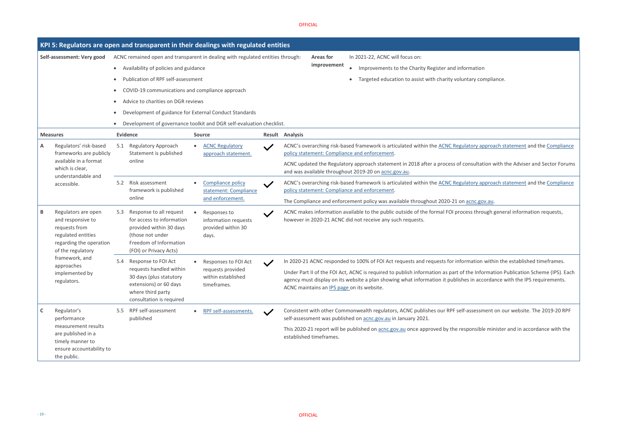rmation

tary compliance.

atory approach statement and the Compliance

onsultation with the Adviser and Sector Forums

atory approach statement and th[e Compliance](https://www.acnc.gov.au/about/corporate-information/corporate-policies/compliance-and-enforcement)

acnc.gov.au<mark>.</mark>

ess through general information requests,

mation within the established timeframes.

#### OFFICIAL

the Information Publication Scheme (IPS). Each es in accordance with the IPS requirements.

assessment on our website. The 2019-20 RPF

ponsible minister and in accordance with the

|                                                                                                                                      | KPI 5: Regulators are open and transparent in their dealings with regulated entities                                                                           |                                                                     |              |                                                                                                                                                                                                                     |  |  |  |  |  |  |
|--------------------------------------------------------------------------------------------------------------------------------------|----------------------------------------------------------------------------------------------------------------------------------------------------------------|---------------------------------------------------------------------|--------------|---------------------------------------------------------------------------------------------------------------------------------------------------------------------------------------------------------------------|--|--|--|--|--|--|
| Self-assessment: Very good                                                                                                           | ACNC remained open and transparent in dealing with regulated entities through:                                                                                 |                                                                     |              | In 2021-22, ACNC will focus on:<br><b>Areas for</b><br>improvement                                                                                                                                                  |  |  |  |  |  |  |
|                                                                                                                                      | Availability of policies and guidance<br>$\bullet$                                                                                                             |                                                                     |              | Improvements to the Charity Register and infor<br>$\bullet$                                                                                                                                                         |  |  |  |  |  |  |
|                                                                                                                                      | Publication of RPF self-assessment                                                                                                                             |                                                                     |              | Targeted education to assist with charity volunt                                                                                                                                                                    |  |  |  |  |  |  |
|                                                                                                                                      | COVID-19 communications and compliance approach                                                                                                                |                                                                     |              |                                                                                                                                                                                                                     |  |  |  |  |  |  |
|                                                                                                                                      | Advice to charities on DGR reviews                                                                                                                             |                                                                     |              |                                                                                                                                                                                                                     |  |  |  |  |  |  |
|                                                                                                                                      | Development of guidance for External Conduct Standards<br>$\bullet$                                                                                            |                                                                     |              |                                                                                                                                                                                                                     |  |  |  |  |  |  |
|                                                                                                                                      | Development of governance toolkit and DGR self-evaluation checklist.                                                                                           |                                                                     |              |                                                                                                                                                                                                                     |  |  |  |  |  |  |
| <b>Measures</b>                                                                                                                      | <b>Evidence</b>                                                                                                                                                | <b>Source</b>                                                       |              | Result Analysis                                                                                                                                                                                                     |  |  |  |  |  |  |
| Regulators' risk-based<br>Α<br>frameworks are publicly                                                                               | Regulatory Approach<br>5.1<br>Statement is published                                                                                                           | <b>ACNC Regulatory</b><br>approach statement.                       | $\checkmark$ | ACNC's overarching risk-based framework is articulated within the ACNC Regula<br>policy statement: Compliance and enforcement.                                                                                      |  |  |  |  |  |  |
| available in a format<br>which is clear,<br>understandable and                                                                       | online                                                                                                                                                         |                                                                     |              | ACNC updated the Regulatory approach statement in 2018 after a process of co<br>and was available throughout 2019-20 on acnc.gov.au.                                                                                |  |  |  |  |  |  |
| accessible.                                                                                                                          | Risk assessment<br>5.2<br>framework is published                                                                                                               | Compliance policy<br>statement: Compliance                          | $\checkmark$ | ACNC's overarching risk-based framework is articulated within the ACNC Regula<br>policy statement: Compliance and enforcement.                                                                                      |  |  |  |  |  |  |
|                                                                                                                                      | online                                                                                                                                                         | and enforcement.                                                    |              | The Compliance and enforcement policy was available throughout 2020-21 on a                                                                                                                                         |  |  |  |  |  |  |
| Regulators are open<br>В<br>and responsive to<br>requests from<br>regulated entities<br>regarding the operation<br>of the regulatory | Response to all request<br>5.3<br>for access to information<br>provided within 30 days<br>(those not under<br>Freedom of Information<br>(FOI) or Privacy Acts) | Responses to<br>information requests<br>provided within 30<br>days. |              | ACNC makes information available to the public outside of the formal FOI proce<br>however in 2020-21 ACNC did not receive any such requests.                                                                        |  |  |  |  |  |  |
| framework, and                                                                                                                       | Response to FOI Act<br>5.4                                                                                                                                     | Responses to FOI Act                                                |              | In 2020-21 ACNC responded to 100% of FOI Act requests and requests for inform                                                                                                                                       |  |  |  |  |  |  |
| approaches<br>implemented by<br>regulators.                                                                                          | requests handled within<br>30 days (plus statutory<br>extensions) or 60 days<br>where third party<br>consultation is required                                  | requests provided<br>within established<br>timeframes.              |              | Under Part II of the FOI Act, ACNC is required to publish information as part of t<br>agency must display on its website a plan showing what information it publishes<br>ACNC maintains an IPS page on its website. |  |  |  |  |  |  |
| Regulator's<br>C<br>performance                                                                                                      | RPF self-assessment<br>$5.5^{\circ}$<br>published                                                                                                              | RPF self-assessments.                                               | $\checkmark$ | Consistent with other Commonwealth regulators, ACNC publishes our RPF self-a<br>self-assessment was published on acnc.gov.au in January 2021.                                                                       |  |  |  |  |  |  |
| measurement results<br>are published in a<br>timely manner to<br>ensure accountability to<br>the public.                             |                                                                                                                                                                |                                                                     |              | This 2020-21 report will be published on acnc.gov.au once approved by the resp<br>established timeframes.                                                                                                           |  |  |  |  |  |  |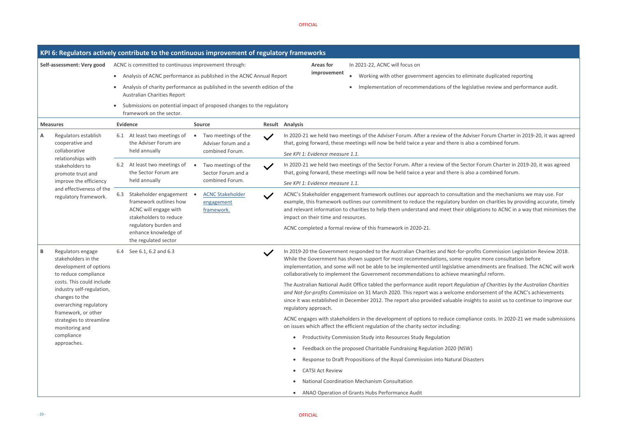Iiminate duplicated reporting

egislative review and performance audit.

Adviser Forum Charter in 2019-20, it was agreed also a combined forum.

ector Forum Charter in 2019-20, it was agreed also a combined forum.

action and the mechanisms we may use. For arden on charities by providing accurate, timely obligations to ACNC in a way that minimises the

profits Commission Legislation Review 2018. equire more consultation before amendments are finalised. The ACNC will work eaningful reform.

Iation of Charities by the Australian Charities *and or sement of the ACNC's achievements* nsights to assist us to continue to improve our

npliance costs. In 2020-21 we made submissions

|                            |                                                                                                                                                                                                  | KPI 6: Regulators actively contribute to the continuous improvement of regulatory frameworks               |                                                                            |                                                    |                                                                                                                                                                                                                                                                                                                                                      |
|----------------------------|--------------------------------------------------------------------------------------------------------------------------------------------------------------------------------------------------|------------------------------------------------------------------------------------------------------------|----------------------------------------------------------------------------|----------------------------------------------------|------------------------------------------------------------------------------------------------------------------------------------------------------------------------------------------------------------------------------------------------------------------------------------------------------------------------------------------------------|
| Self-assessment: Very good |                                                                                                                                                                                                  | ACNC is committed to continuous improvement through:                                                       |                                                                            | In 2021-22, ACNC will focus on<br><b>Areas for</b> |                                                                                                                                                                                                                                                                                                                                                      |
|                            |                                                                                                                                                                                                  |                                                                                                            | Analysis of ACNC performance as published in the ACNC Annual Report        |                                                    | improvement<br>Working with other government agencies to eliminate                                                                                                                                                                                                                                                                                   |
|                            |                                                                                                                                                                                                  | Australian Charities Report                                                                                | Analysis of charity performance as published in the seventh edition of the |                                                    | Implementation of recommendations of the legislative                                                                                                                                                                                                                                                                                                 |
|                            |                                                                                                                                                                                                  | framework on the sector.                                                                                   | Submissions on potential impact of proposed changes to the regulatory      |                                                    |                                                                                                                                                                                                                                                                                                                                                      |
| <b>Measures</b>            |                                                                                                                                                                                                  | <b>Evidence</b>                                                                                            | <b>Source</b>                                                              | Result Analysis                                    |                                                                                                                                                                                                                                                                                                                                                      |
| Α                          | Regulators establish<br>cooperative and                                                                                                                                                          | 6.1 At least two meetings of<br>the Adviser Forum are                                                      | Two meetings of the<br>Adviser forum and a                                 | $\checkmark$                                       | In 2020-21 we held two meetings of the Adviser Forum. After a review of the Adviser F<br>that, going forward, these meetings will now be held twice a year and there is also a co                                                                                                                                                                    |
|                            | collaborative<br>relationships with                                                                                                                                                              | held annually                                                                                              | combined Forum.                                                            |                                                    | See KPI 1: Evidence measure 1.1.                                                                                                                                                                                                                                                                                                                     |
|                            | stakeholders to<br>promote trust and                                                                                                                                                             | At least two meetings of<br>6.2<br>the Sector Forum are                                                    | Two meetings of the<br>Sector Forum and a                                  | $\checkmark$                                       | In 2020-21 we held two meetings of the Sector Forum. After a review of the Sector For<br>that, going forward, these meetings will now be held twice a year and there is also a co                                                                                                                                                                    |
|                            | improve the efficiency<br>and effectiveness of the<br>regulatory framework.                                                                                                                      | held annually                                                                                              | combined Forum.                                                            |                                                    | See KPI 1: Evidence measure 1.1.                                                                                                                                                                                                                                                                                                                     |
|                            |                                                                                                                                                                                                  | Stakeholder engagement<br>6.3<br>framework outlines how<br>ACNC will engage with<br>stakeholders to reduce | <b>ACNC Stakeholder</b><br>engagement<br>framework.                        | $\checkmark$                                       | ACNC's Stakeholder engagement framework outlines our approach to consultation and<br>example, this framework outlines our commitment to reduce the regulatory burden or<br>and relevant information to charities to help them understand and meet their obligation<br>impact on their time and resources.                                            |
|                            |                                                                                                                                                                                                  | regulatory burden and<br>enhance knowledge of<br>the regulated sector                                      |                                                                            |                                                    | ACNC completed a formal review of this framework in 2020-21.                                                                                                                                                                                                                                                                                         |
| В                          | Regulators engage<br>stakeholders in the<br>development of options<br>to reduce compliance<br>costs. This could include<br>industry self-regulation,<br>changes to the<br>overarching regulatory | See 6.1, 6.2 and 6.3<br>6.4                                                                                |                                                                            | $\checkmark$                                       | In 2019-20 the Government responded to the Australian Charities and Not-for-profits (<br>While the Government has shown support for most recommendations, some require n<br>implementation, and some will not be able to be implemented until legislative amendr<br>collaboratively to implement the Government recommendations to achieve meaningfu |
|                            |                                                                                                                                                                                                  |                                                                                                            |                                                                            |                                                    | The Australian National Audit Office tabled the performance audit report Regulation of<br>and Not-for-profits Commission on 31 March 2020. This report was a welcome endorse<br>since it was established in December 2012. The report also provided valuable insights t<br>regulatory approach.                                                      |
|                            | framework, or other<br>strategies to streamline<br>monitoring and                                                                                                                                |                                                                                                            |                                                                            |                                                    | ACNC engages with stakeholders in the development of options to reduce compliance<br>on issues which affect the efficient regulation of the charity sector including:                                                                                                                                                                                |
|                            | compliance                                                                                                                                                                                       |                                                                                                            |                                                                            |                                                    | Productivity Commission Study into Resources Study Regulation                                                                                                                                                                                                                                                                                        |
|                            | approaches.                                                                                                                                                                                      |                                                                                                            |                                                                            |                                                    | Feedback on the proposed Charitable Fundraising Regulation 2020 (NSW)                                                                                                                                                                                                                                                                                |
|                            |                                                                                                                                                                                                  |                                                                                                            |                                                                            | $\bullet$                                          | Response to Draft Propositions of the Royal Commission into Natural Disasters                                                                                                                                                                                                                                                                        |
|                            |                                                                                                                                                                                                  |                                                                                                            |                                                                            |                                                    | <b>CATSI Act Review</b>                                                                                                                                                                                                                                                                                                                              |
|                            |                                                                                                                                                                                                  |                                                                                                            |                                                                            |                                                    | <b>National Coordination Mechanism Consultation</b>                                                                                                                                                                                                                                                                                                  |
|                            |                                                                                                                                                                                                  |                                                                                                            |                                                                            |                                                    | ANAO Operation of Grants Hubs Performance Audit                                                                                                                                                                                                                                                                                                      |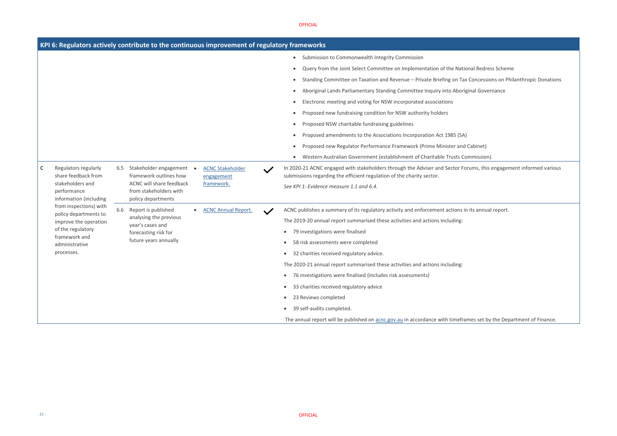nal Redress Scheme

Concessions on Philanthropic Donations

inal Governance

mmission).

rums, this engagement informed various

i its annual report.

#### OFFICIAL

The annual report will be published on **[acnc.gov.au](http://www.acnc.gov.au/)** in accordance with timeframes set by the Department of Finance.

|   |                                                                                                          |     | KPI 6: Regulators actively contribute to the continuous improvement of regulatory frameworks |  |                                       |              |                                                              |                                                                                                                                                              |
|---|----------------------------------------------------------------------------------------------------------|-----|----------------------------------------------------------------------------------------------|--|---------------------------------------|--------------|--------------------------------------------------------------|--------------------------------------------------------------------------------------------------------------------------------------------------------------|
|   |                                                                                                          |     |                                                                                              |  |                                       |              |                                                              | Submission to Commonwealth Integrity Commission                                                                                                              |
|   |                                                                                                          |     |                                                                                              |  |                                       |              |                                                              | Query from the Joint Select Committee on Implementation of the National Redi                                                                                 |
|   |                                                                                                          |     |                                                                                              |  |                                       |              |                                                              | Standing Committee on Taxation and Revenue - Private Briefing on Tax Concess                                                                                 |
|   |                                                                                                          |     |                                                                                              |  |                                       |              |                                                              | Aboriginal Lands Parliamentary Standing Committee Inquiry into Aboriginal Gov                                                                                |
|   |                                                                                                          |     |                                                                                              |  |                                       |              |                                                              | Electronic meeting and voting for NSW incorporated associations                                                                                              |
|   |                                                                                                          |     |                                                                                              |  |                                       |              |                                                              | Proposed new fundraising condition for NSW authority holders                                                                                                 |
|   |                                                                                                          |     |                                                                                              |  |                                       |              |                                                              | Proposed NSW charitable fundraising guidelines                                                                                                               |
|   |                                                                                                          |     |                                                                                              |  |                                       |              |                                                              | Proposed amendments to the Associations Incorporation Act 1985 (SA)                                                                                          |
|   |                                                                                                          |     |                                                                                              |  |                                       |              |                                                              | Proposed new Regulator Performance Framework (Prime Minister and Cabinet)                                                                                    |
|   |                                                                                                          |     |                                                                                              |  |                                       |              |                                                              | Western Australian Government (establishment of Charitable Trusts Commission                                                                                 |
| C | Regulators regularly<br>share feedback from<br>stakeholders and<br>performance<br>information (including | 6.5 | Stakeholder engagement<br>framework outlines how                                             |  | <b>ACNC Stakeholder</b><br>engagement | $\checkmark$ |                                                              | In 2020-21 ACNC engaged with stakeholders through the Adviser and Sector Forums, th<br>submissions regarding the efficient regulation of the charity sector. |
|   |                                                                                                          |     | <b>ACNC will share feedback</b><br>from stakeholders with<br>policy departments              |  | framework.                            |              |                                                              | See KPI 1: Evidence measure 1.1 and 6.4.                                                                                                                     |
|   | from inspections) with                                                                                   | 6.6 | Report is published<br>analysing the previous                                                |  | <b>ACNC Annual Report.</b>            |              |                                                              | ACNC publishes a summary of its regulatory activity and enforcement actions in its annu                                                                      |
|   | policy departments to<br>improve the operation                                                           |     |                                                                                              |  |                                       |              |                                                              | The 2019-20 annual report summarised these activities and actions including:                                                                                 |
|   | of the regulatory                                                                                        |     | year's cases and<br>forecasting risk for                                                     |  |                                       |              | $\bullet$                                                    | 79 investigations were finalised                                                                                                                             |
|   | framework and<br>administrative                                                                          |     | future years annually                                                                        |  |                                       |              | $\bullet$                                                    | 58 risk assessments were completed                                                                                                                           |
|   | processes.                                                                                               |     |                                                                                              |  |                                       |              |                                                              | 32 charities received regulatory advice.                                                                                                                     |
|   |                                                                                                          |     |                                                                                              |  |                                       |              |                                                              | The 2020-21 annual report summarised these activities and actions including:                                                                                 |
|   |                                                                                                          |     |                                                                                              |  |                                       | $\bullet$    | 76 investigations were finalised (includes risk assessments) |                                                                                                                                                              |
|   |                                                                                                          |     |                                                                                              |  |                                       |              | $\bullet$                                                    | 33 charities received regulatory advice                                                                                                                      |
|   |                                                                                                          |     |                                                                                              |  |                                       |              | $\bullet$                                                    | 23 Reviews completed                                                                                                                                         |
|   |                                                                                                          |     |                                                                                              |  |                                       |              | $\bullet$                                                    | 39 self-audits completed.                                                                                                                                    |
|   |                                                                                                          |     |                                                                                              |  |                                       |              |                                                              |                                                                                                                                                              |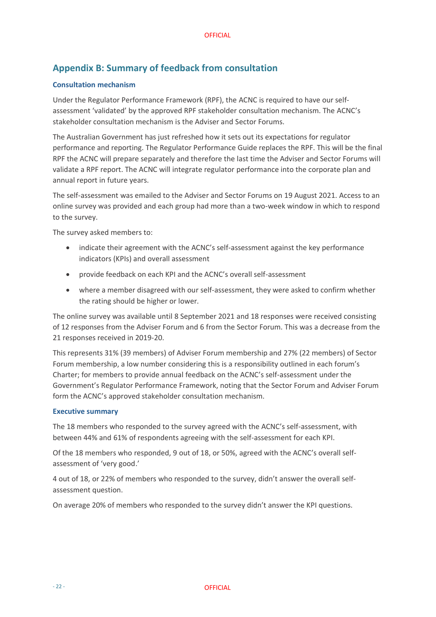# <span id="page-21-0"></span>**Appendix B: Summary of feedback from consultation**

#### **Consultation mechanism**

Under the Regulator Performance Framework (RPF), the ACNC is required to have our selfassessment 'validated' by the approved RPF stakeholder consultation mechanism. The ACNC's stakeholder consultation mechanism is the Adviser and Sector Forums.

The Australian Government has just refreshed how it sets out its expectations for regulator performance and reporting. The Regulator Performance Guide replaces the RPF. This will be the final RPF the ACNC will prepare separately and therefore the last time the Adviser and Sector Forums will validate a RPF report. The ACNC will integrate regulator performance into the corporate plan and annual report in future years.

The self-assessment was emailed to the Adviser and Sector Forums on 19 August 2021. Access to an online survey was provided and each group had more than a two-week window in which to respond to the survey.

The survey asked members to:

- indicate their agreement with the ACNC's self-assessment against the key performance indicators (KPIs) and overall assessment
- provide feedback on each KPI and the ACNC's overall self-assessment
- where a member disagreed with our self-assessment, they were asked to confirm whether the rating should be higher or lower.

The online survey was available until 8 September 2021 and 18 responses were received consisting of 12 responses from the Adviser Forum and 6 from the Sector Forum. This was a decrease from the 21 responses received in 2019-20.

This represents 31% (39 members) of Adviser Forum membership and 27% (22 members) of Sector Forum membership, a low number considering this is a responsibility outlined in each forum's Charter; for members to provide annual feedback on the ACNC's self-assessment under the Government's Regulator Performance Framework, noting that the Sector Forum and Adviser Forum form the ACNC's approved stakeholder consultation mechanism.

#### **Executive summary**

The 18 members who responded to the survey agreed with the ACNC's self-assessment, with between 44% and 61% of respondents agreeing with the self-assessment for each KPI.

Of the 18 members who responded, 9 out of 18, or 50%, agreed with the ACNC's overall selfassessment of 'very good.'

4 out of 18, or 22% of members who responded to the survey, didn't answer the overall selfassessment question.

On average 20% of members who responded to the survey didn't answer the KPI questions.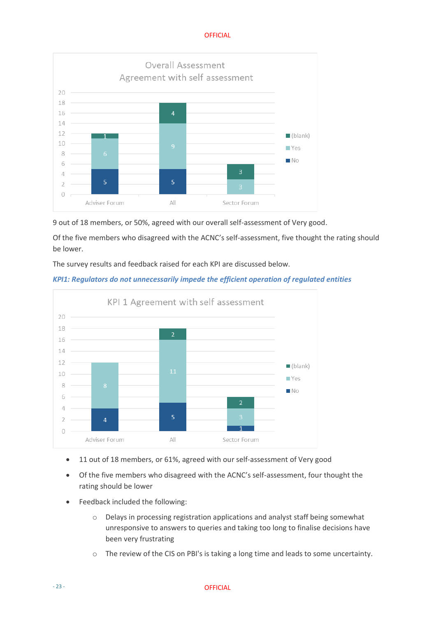

9 out of 18 members, or 50%, agreed with our overall self-assessment of Very good.

Of the five members who disagreed with the ACNC's self-assessment, five thought the rating should be lower.

The survey results and feedback raised for each KPI are discussed below.

#### *KPI1: Regulators do not unnecessarily impede the efficient operation of regulated entities*



- 11 out of 18 members, or 61%, agreed with our self-assessment of Very good
- Of the five members who disagreed with the ACNC's self-assessment, four thought the rating should be lower
- Feedback included the following:
	- o Delays in processing registration applications and analyst staff being somewhat unresponsive to answers to queries and taking too long to finalise decisions have been very frustrating
	- o The review of the CIS on PBI's is taking a long time and leads to some uncertainty.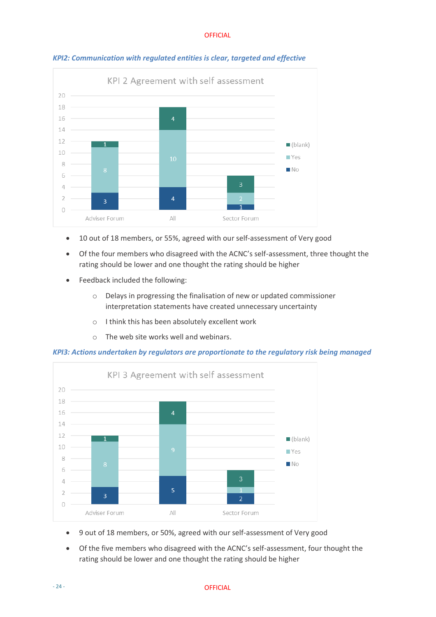

#### *KPI2: Communication with regulated entities is clear, targeted and effective*

- 10 out of 18 members, or 55%, agreed with our self-assessment of Very good
- Of the four members who disagreed with the ACNC's self-assessment, three thought the rating should be lower and one thought the rating should be higher
- Feedback included the following:
	- o Delays in progressing the finalisation of new or updated commissioner interpretation statements have created unnecessary uncertainty
	- o I think this has been absolutely excellent work
	- o The web site works well and webinars.

*KPI3: Actions undertaken by regulators are proportionate to the regulatory risk being managed* 



- 9 out of 18 members, or 50%, agreed with our self-assessment of Very good
- Of the five members who disagreed with the ACNC's self-assessment, four thought the rating should be lower and one thought the rating should be higher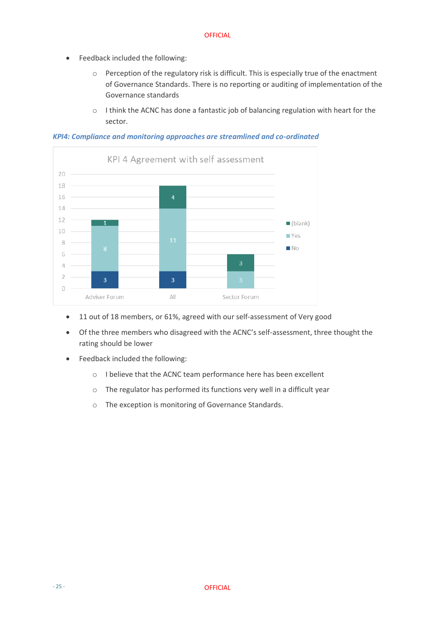- Feedback included the following:
	- o Perception of the regulatory risk is difficult. This is especially true of the enactment of Governance Standards. There is no reporting or auditing of implementation of the Governance standards
	- o I think the ACNC has done a fantastic job of balancing regulation with heart for the sector.

*KPI4: Compliance and monitoring approaches are streamlined and co-ordinated* 



- 11 out of 18 members, or 61%, agreed with our self-assessment of Very good
- Of the three members who disagreed with the ACNC's self-assessment, three thought the rating should be lower
- Feedback included the following:
	- o I believe that the ACNC team performance here has been excellent
	- o The regulator has performed its functions very well in a difficult year
	- o The exception is monitoring of Governance Standards.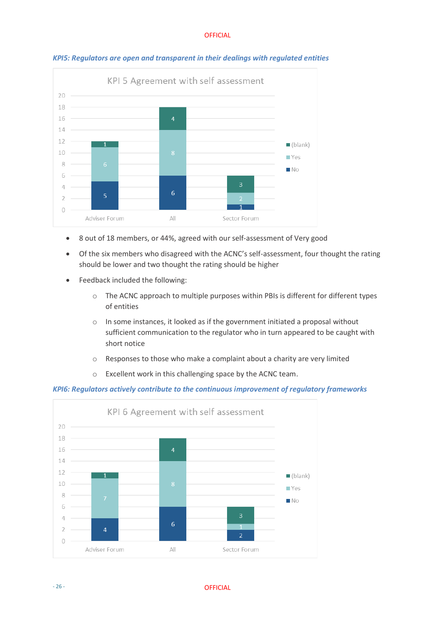

*KPI5: Regulators are open and transparent in their dealings with regulated entities* 

- 8 out of 18 members, or 44%, agreed with our self-assessment of Very good
- Of the six members who disagreed with the ACNC's self-assessment, four thought the rating should be lower and two thought the rating should be higher
- Feedback included the following:
	- o The ACNC approach to multiple purposes within PBIs is different for different types of entities
	- o In some instances, it looked as if the government initiated a proposal without sufficient communication to the regulator who in turn appeared to be caught with short notice
	- o Responses to those who make a complaint about a charity are very limited
	- o Excellent work in this challenging space by the ACNC team.

#### *KPI6: Regulators actively contribute to the continuous improvement of regulatory frameworks*